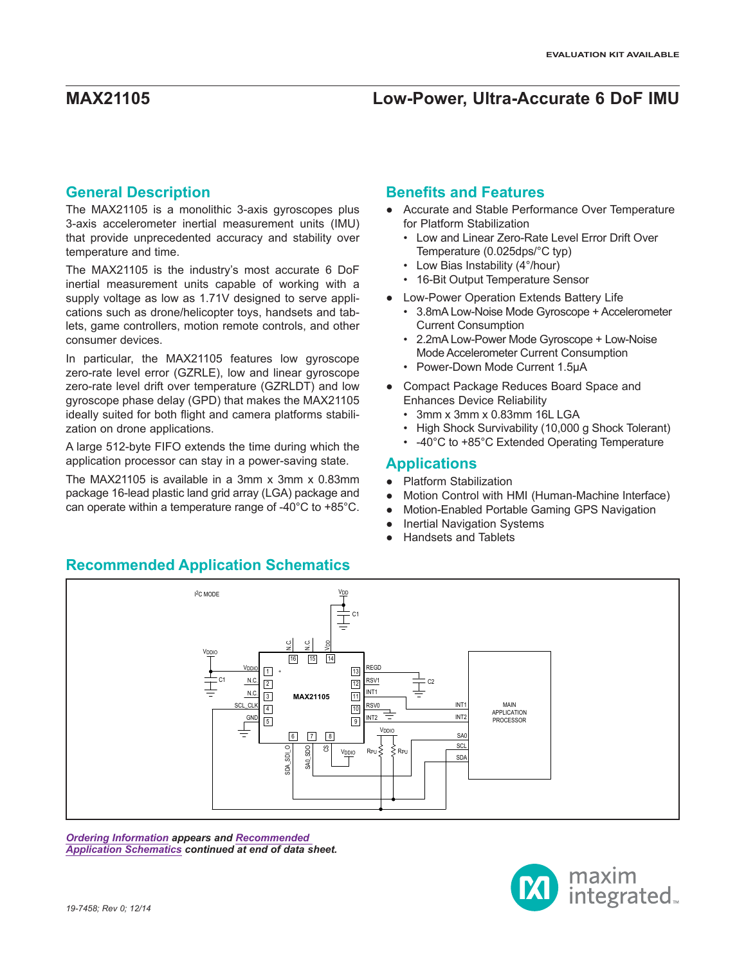## **General Description**

The MAX21105 is a monolithic 3-axis gyroscopes plus 3-axis accelerometer inertial measurement units (IMU) that provide unprecedented accuracy and stability over temperature and time.

The MAX21105 is the industry's most accurate 6 DoF inertial measurement units capable of working with a supply voltage as low as 1.71V designed to serve applications such as drone/helicopter toys, handsets and tablets, game controllers, motion remote controls, and other consumer devices.

In particular, the MAX21105 features low gyroscope zero-rate level error (GZRLE), low and linear gyroscope zero-rate level drift over temperature (GZRLDT) and low gyroscope phase delay (GPD) that makes the MAX21105 ideally suited for both flight and camera platforms stabilization on drone applications.

A large 512-byte FIFO extends the time during which the application processor can stay in a power-saving state.

The MAX21105 is available in a 3mm x 3mm x 0.83mm package 16-lead plastic land grid array (LGA) package and can operate within a temperature range of -40°C to +85°C.

## **Benefits and Features**

- Accurate and Stable Performance Over Temperature for Platform Stabilization
	- Low and Linear Zero-Rate Level Error Drift Over Temperature (0.025dps/°C typ)
	- Low Bias Instability (4°/hour)
	- 16-Bit Output Temperature Sensor
- Low-Power Operation Extends Battery Life
	- 3.8mA Low-Noise Mode Gyroscope + Accelerometer Current Consumption
	- 2.2mA Low-Power Mode Gyroscope + Low-Noise Mode Accelerometer Current Consumption
	- Power-Down Mode Current 1.5µA
- Compact Package Reduces Board Space and Enhances Device Reliability
	- 3mm x 3mm x 0.83mm 16L LGA
	- High Shock Survivability (10,000 g Shock Tolerant)
	- -40°C to +85°C Extended Operating Temperature

## **Applications**

- Platform Stabilization
- Motion Control with HMI (Human-Machine Interface)
- Motion-Enabled Portable Gaming GPS Navigation
- **Inertial Navigation Systems**
- **Handsets and Tablets**



*[Ordering Information](#page-21-0) appears and [Recommended](#page-21-1)  [Application Schematics](#page-21-1) continued at end of data sheet.*



## **Recommended Application Schematics**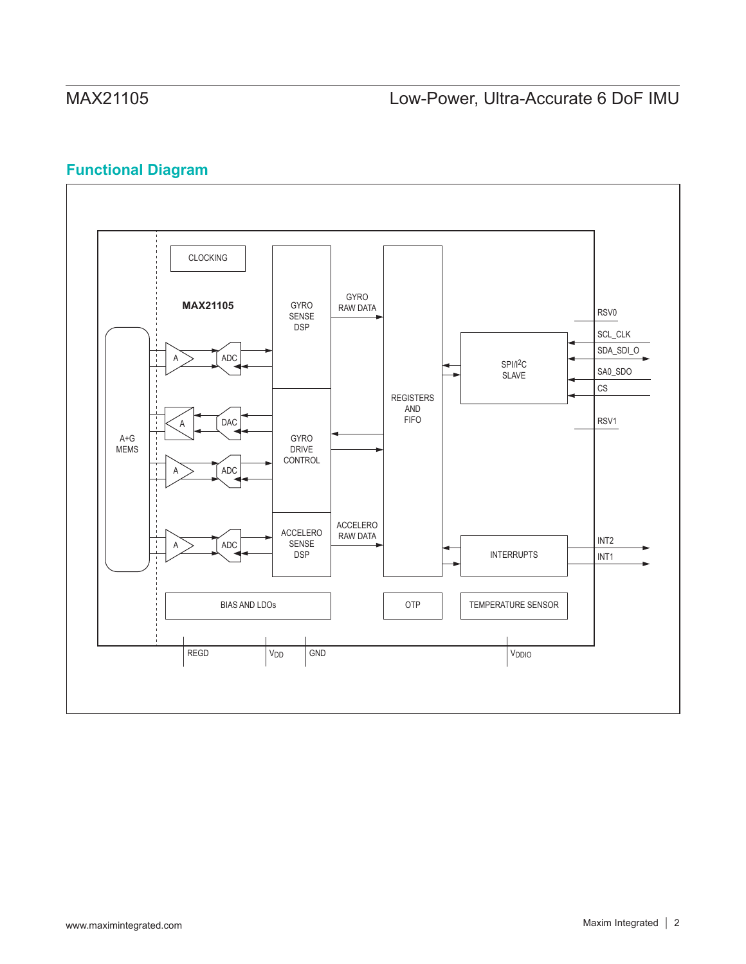# **Functional Diagram**

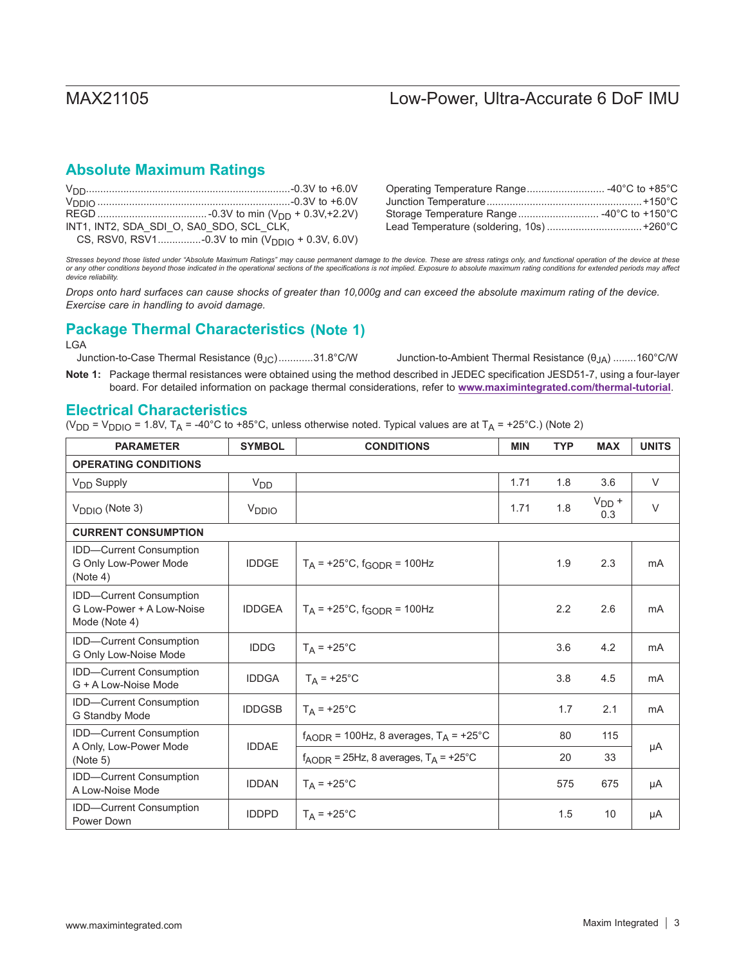## **Absolute Maximum Ratings**

| INT1, INT2, SDA SDI O, SA0 SDO, SCL CLK, |                                                       |
|------------------------------------------|-------------------------------------------------------|
|                                          | CS, RSV0, RSV1-0.3V to min ( $V_{DDIO}$ + 0.3V, 6.0V) |

*Stresses beyond those listed under "Absolute Maximum Ratings" may cause permanent damage to the device. These are stress ratings only, and functional operation of the device at these or any other conditions beyond those indicated in the operational sections of the specifications is not implied. Exposure to absolute maximum rating conditions for extended periods may affect device reliability.*

*Drops onto hard surfaces can cause shocks of greater than 10,000g and can exceed the absolute maximum rating of the device. Exercise care in handling to avoid damage.*

## **Package Thermal Characteristics (Note 1)**

LGA

Junction-to-Case Thermal Resistance  $(θ<sub>JC</sub>)$ .............31.8°C/W Junction-to-Ambient Thermal Resistance  $(θ<sub>JA</sub>)$ ........160°C/W

**Note 1:** Package thermal resistances were obtained using the method described in JEDEC specification JESD51-7, using a four-layer board. For detailed information on package thermal considerations, refer to **www.maximintegrated.com/thermal-tutorial**.

## **Electrical Characteristics**

(V<sub>DD</sub> = V<sub>DDIO</sub> = 1.8V, T<sub>A</sub> = -40°C to +85°C, unless otherwise noted. Typical values are at T<sub>A</sub> = +25°C.) (Note 2)

| <b>PARAMETER</b>                                                             | <b>SYMBOL</b>     | <b>CONDITIONS</b>                                            | <b>MIN</b> | <b>TYP</b> | <b>MAX</b>        | <b>UNITS</b> |
|------------------------------------------------------------------------------|-------------------|--------------------------------------------------------------|------------|------------|-------------------|--------------|
| <b>OPERATING CONDITIONS</b>                                                  |                   |                                                              |            |            |                   |              |
| V <sub>DD</sub> Supply                                                       | V <sub>DD</sub>   |                                                              | 1.71       | 1.8        | 3.6               | $\vee$       |
| $V_{\text{DDIO}}$ (Note 3)                                                   | V <sub>DDIO</sub> |                                                              | 1.71       | 1.8        | $V_{DD}$ +<br>0.3 | $\vee$       |
| <b>CURRENT CONSUMPTION</b>                                                   |                   |                                                              |            |            |                   |              |
| <b>IDD-Current Consumption</b><br>G Only Low-Power Mode<br>(Note 4)          | <b>IDDGE</b>      | $T_A$ = +25°C, $f_{GODR}$ = 100Hz                            |            | 1.9        | 2.3               | mA           |
| <b>IDD-Current Consumption</b><br>G Low-Power + A Low-Noise<br>Mode (Note 4) | <b>IDDGEA</b>     | $T_A$ = +25°C, f <sub>GODR</sub> = 100Hz                     |            | 2.2        | 2.6               | mA           |
| IDD-Current Consumption<br>G Only Low-Noise Mode                             | <b>IDDG</b>       | $T_A$ = +25°C                                                |            | 3.6        | 4.2               | mA           |
| <b>IDD-Current Consumption</b><br>G + A Low-Noise Mode                       | <b>IDDGA</b>      | $T_A$ = +25°C                                                |            | 3.8        | 4.5               | mA           |
| <b>IDD-Current Consumption</b><br>G Standby Mode                             | <b>IDDGSB</b>     | $T_A$ = +25°C                                                |            | 1.7        | 2.1               | mA           |
| IDD-Current Consumption                                                      |                   | $f_{\text{AODR}}$ = 100Hz, 8 averages, $T_A$ = +25°C         |            | 80         | 115               |              |
| A Only, Low-Power Mode<br>(Note 5)                                           | <b>IDDAE</b>      | $f_{\text{AODR}}$ = 25Hz, 8 averages, $T_{\text{A}}$ = +25°C |            | 20         | 33                | μA           |
| <b>IDD-Current Consumption</b><br>A Low-Noise Mode                           | <b>IDDAN</b>      | $T_A$ = +25°C                                                |            | 575        | 675               | μA           |
| <b>IDD-Current Consumption</b><br>Power Down                                 | <b>IDDPD</b>      | $T_A$ = +25°C                                                |            | 1.5        | 10                | μA           |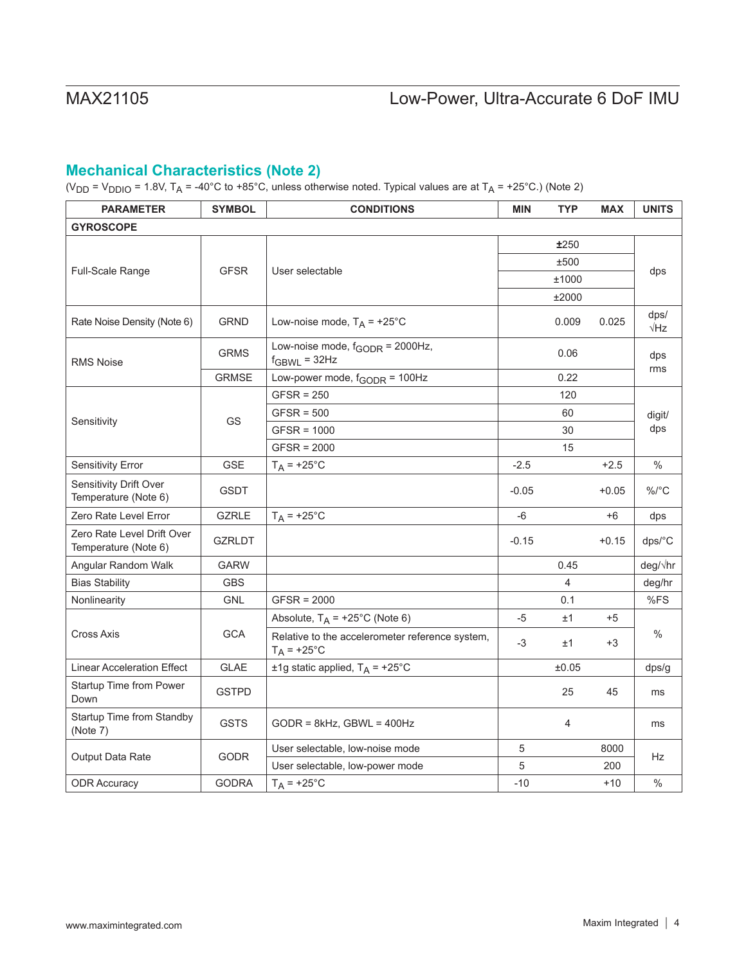## **Mechanical Characteristics (Note 2)**

(V<sub>DD</sub> = V<sub>DDIO</sub> = 1.8V, T<sub>A</sub> = -40°C to +85°C, unless otherwise noted. Typical values are at T<sub>A</sub> = +25°C.) (Note 2)

| <b>PARAMETER</b>                                   | <b>SYMBOL</b> | <b>CONDITIONS</b>                                                | <b>MIN</b> | <b>TYP</b> | <b>MAX</b> | <b>UNITS</b>        |  |
|----------------------------------------------------|---------------|------------------------------------------------------------------|------------|------------|------------|---------------------|--|
| <b>GYROSCOPE</b>                                   |               |                                                                  |            |            |            |                     |  |
|                                                    |               |                                                                  |            | ±250       |            |                     |  |
|                                                    |               |                                                                  |            | ±500       |            |                     |  |
| Full-Scale Range                                   | <b>GFSR</b>   | User selectable                                                  |            | ±1000      |            | dps                 |  |
|                                                    |               |                                                                  |            | ±2000      |            |                     |  |
| Rate Noise Density (Note 6)                        | <b>GRND</b>   | Low-noise mode, $T_A$ = +25°C                                    |            | 0.009      | 0.025      | dps/<br>$\sqrt{Hz}$ |  |
| <b>RMS Noise</b>                                   | <b>GRMS</b>   | Low-noise mode, $f_{\text{GODR}}$ = 2000Hz,<br>$f_{GBWL} = 32Hz$ |            | 0.06       |            | dps                 |  |
|                                                    | <b>GRMSE</b>  | Low-power mode, $f_{\text{GODR}} = 100$ Hz                       |            | 0.22       |            | rms                 |  |
|                                                    |               | $GFSR = 250$                                                     |            | 120        |            |                     |  |
|                                                    |               | $GFSR = 500$                                                     |            | 60         |            | digit/<br>dps       |  |
| Sensitivity                                        | GS            | $GFSR = 1000$                                                    |            | 30         |            |                     |  |
|                                                    |               | $GFSR = 2000$                                                    | 15         |            |            |                     |  |
| <b>Sensitivity Error</b>                           | <b>GSE</b>    | $T_A$ = +25°C                                                    | $-2.5$     |            | $+2.5$     | $\%$                |  |
| Sensitivity Drift Over<br>Temperature (Note 6)     | <b>GSDT</b>   |                                                                  | $-0.05$    |            | $+0.05$    | $\%$ /°C            |  |
| Zero Rate Level Error                              | <b>GZRLE</b>  | $T_A$ = +25°C                                                    | -6         |            | +6         | dps                 |  |
| Zero Rate Level Drift Over<br>Temperature (Note 6) | <b>GZRLDT</b> |                                                                  | $-0.15$    |            | $+0.15$    | dps/°C              |  |
| Angular Random Walk                                | <b>GARW</b>   |                                                                  |            | 0.45       |            | deg/√hr             |  |
| <b>Bias Stability</b>                              | <b>GBS</b>    |                                                                  |            | 4          |            | deg/hr              |  |
| Nonlinearity                                       | <b>GNL</b>    | $GFSR = 2000$                                                    |            | 0.1        |            | %FS                 |  |
|                                                    |               | Absolute, $T_A$ = +25°C (Note 6)                                 | $-5$       | ±1         | $+5$       |                     |  |
| <b>Cross Axis</b>                                  | <b>GCA</b>    | Relative to the accelerometer reference system,<br>$T_A$ = +25°C | -3         | ±1         | +3         | $\%$                |  |
| <b>Linear Acceleration Effect</b>                  | <b>GLAE</b>   | ±1g static applied, $T_A$ = +25°C                                |            | ±0.05      |            | dps/g               |  |
| Startup Time from Power<br>Down                    | <b>GSTPD</b>  |                                                                  |            | 25         | 45         | ms                  |  |
| Startup Time from Standby<br>(Note 7)              | <b>GSTS</b>   | $GODR = 8kHz$ , $GBWL = 400Hz$                                   |            | 4          |            | ms                  |  |
|                                                    |               | User selectable, low-noise mode                                  | 5          |            | 8000       |                     |  |
| <b>Output Data Rate</b>                            | <b>GODR</b>   | User selectable, low-power mode                                  | 5          |            | 200        | Hz                  |  |
| <b>ODR Accuracy</b>                                | <b>GODRA</b>  | $T_A$ = +25°C                                                    | $-10$      |            | $+10$      | $\%$                |  |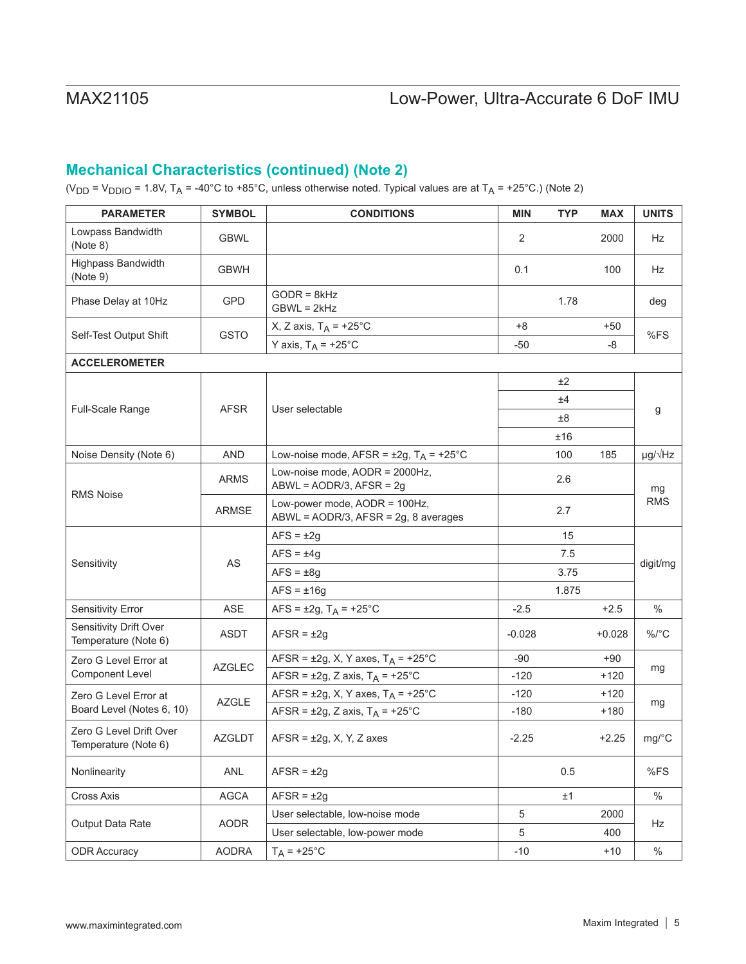## **Mechanical Characteristics (continued) (Note 2)**

(V<sub>DD</sub> = V<sub>DDIO</sub> = 1.8V, T<sub>A</sub> = -40°C to +85°C, unless otherwise noted. Typical values are at T<sub>A</sub> = +25°C.) (Note 2)

| <b>PARAMETER</b>                                | <b>SYMBOL</b> | <b>CONDITIONS</b>                                                     | <b>MIN</b> | <b>TYP</b> | <b>MAX</b> | <b>UNITS</b>         |  |
|-------------------------------------------------|---------------|-----------------------------------------------------------------------|------------|------------|------------|----------------------|--|
| Lowpass Bandwidth<br>(Note 8)                   | <b>GBWL</b>   |                                                                       | 2          |            | 2000       | Hz                   |  |
| Highpass Bandwidth<br>(Note 9)                  | <b>GBWH</b>   |                                                                       | 0.1        |            | 100        | Hz                   |  |
| Phase Delay at 10Hz                             | <b>GPD</b>    | $GODR = 8kHz$<br>$GBWL = 2kHz$                                        |            | 1.78       |            | deg                  |  |
|                                                 | <b>GSTO</b>   | X, Z axis, $T_A$ = +25°C                                              | $+8$       |            | $+50$      |                      |  |
| Self-Test Output Shift                          |               | Y axis, $T_A$ = +25°C                                                 | $-50$      |            | -8         | %FS                  |  |
| <b>ACCELEROMETER</b>                            |               |                                                                       |            |            |            |                      |  |
|                                                 |               |                                                                       |            | ±2         |            |                      |  |
|                                                 |               |                                                                       |            | ±4         |            |                      |  |
| <b>Full-Scale Range</b>                         | <b>AFSR</b>   | User selectable                                                       |            | ±8         |            | g                    |  |
|                                                 |               |                                                                       |            | ±16        |            |                      |  |
| Noise Density (Note 6)                          | <b>AND</b>    | Low-noise mode, AFSR = $\pm 2g$ , T <sub>A</sub> = $\pm 25^{\circ}$ C |            | 100        | 185        | $\mu$ g/ $\sqrt{Hz}$ |  |
| <b>RMS Noise</b>                                | <b>ARMS</b>   | Low-noise mode, AODR = 2000Hz,<br>$ABWL = AODR/3$ , $AFSR = 2g$       |            | 2.6        |            | mg                   |  |
|                                                 | <b>ARMSE</b>  | Low-power mode, AODR = 100Hz,<br>ABWL = AODR/3, AFSR = 2g, 8 averages |            | 2.7        |            | <b>RMS</b>           |  |
|                                                 | AS            | $AFS = \pm 2g$                                                        |            | 15         |            |                      |  |
|                                                 |               | $AFS = \pm 4g$                                                        |            | 7.5        |            |                      |  |
| Sensitivity                                     |               | $AFS = \pm 8g$                                                        |            | 3.75       |            | digit/mg             |  |
|                                                 |               | $AFS = \pm 16g$                                                       |            | 1.875      |            |                      |  |
| <b>Sensitivity Error</b>                        | ASE           | $AFS = \pm 2g$ , $T_A = +25^{\circ}C$                                 | $-2.5$     |            | $+2.5$     | $\%$                 |  |
| Sensitivity Drift Over<br>Temperature (Note 6)  | <b>ASDT</b>   | $AFSR = \pm 2g$                                                       | $-0.028$   |            | $+0.028$   | $\%$ /°C             |  |
| Zero G Level Error at                           |               | AFSR = $\pm 2g$ , X, Y axes, T <sub>A</sub> = $\pm 25^{\circ}$ C      | $-90$      |            | +90        |                      |  |
| <b>Component Level</b>                          | <b>AZGLEC</b> | AFSR = $\pm 2g$ , Z axis, T <sub>A</sub> = $\pm 25^{\circ}$ C         | $-120$     |            | $+120$     | mg                   |  |
| Zero G Level Error at                           |               | AFSR = $\pm 2g$ , X, Y axes, T <sub>A</sub> = $\pm 25^{\circ}$ C      | $-120$     |            | $+120$     |                      |  |
| Board Level (Notes 6, 10)                       | <b>AZGLE</b>  | AFSR = $\pm 2g$ , Z axis, T <sub>A</sub> = $\pm 25^{\circ}$ C         | $-180$     |            | $+180$     | mg                   |  |
| Zero G Level Drift Over<br>Temperature (Note 6) | <b>AZGLDT</b> | $AFSR = \pm 2g$ , X, Y, Z axes                                        | $-2.25$    |            | $+2.25$    | mg/°C                |  |
| Nonlinearity                                    | ANL           | $AFSR = \pm 2g$                                                       |            | 0.5        |            | %FS                  |  |
| Cross Axis                                      | <b>AGCA</b>   | $AFSR = \pm 2g$                                                       |            | ±1         |            | $\%$                 |  |
|                                                 |               | User selectable, low-noise mode                                       | 5          |            | 2000       |                      |  |
| Output Data Rate                                | <b>AODR</b>   | User selectable, low-power mode                                       | 5          |            | 400        | Hz                   |  |
| <b>ODR Accuracy</b>                             | <b>AODRA</b>  | $T_A$ = +25°C                                                         | $-10$      |            | $+10$      | $\%$                 |  |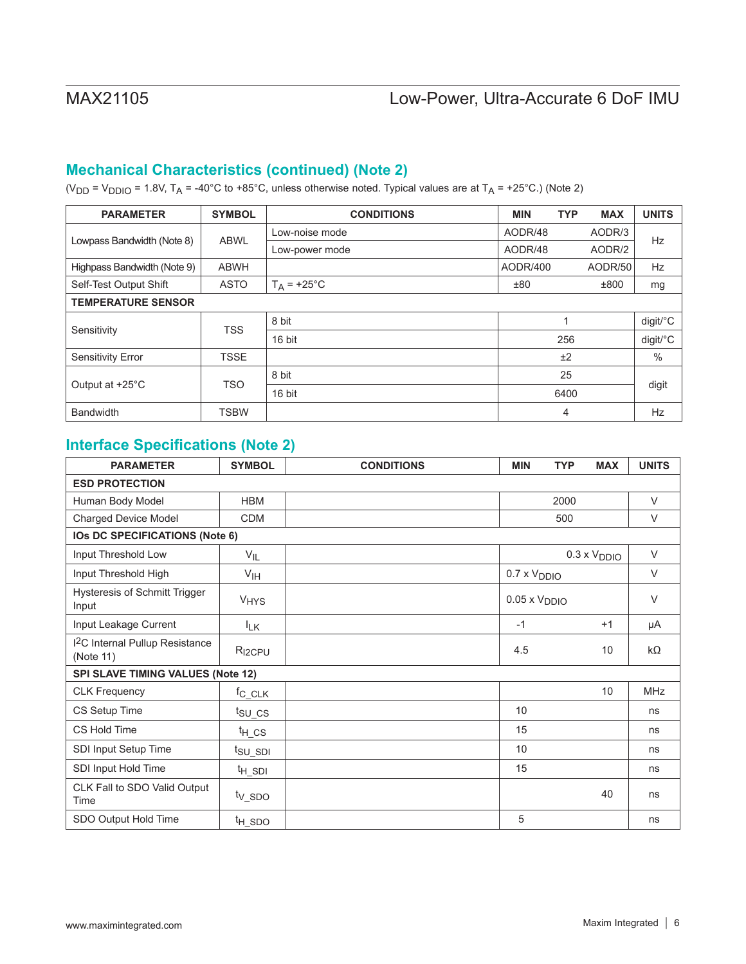## **Mechanical Characteristics (continued) (Note 2)**

(V<sub>DD</sub> = V<sub>DDIO</sub> = 1.8V, T<sub>A</sub> = -40°C to +85°C, unless otherwise noted. Typical values are at T<sub>A</sub> = +25°C.) (Note 2)

| <b>PARAMETER</b>            | <b>SYMBOL</b> | <b>CONDITIONS</b> | <b>MIN</b> | <b>TYP</b> | <b>MAX</b> | <b>UNITS</b>  |
|-----------------------------|---------------|-------------------|------------|------------|------------|---------------|
|                             | <b>ABWL</b>   | Low-noise mode    | AODR/48    |            | AODR/3     |               |
| Lowpass Bandwidth (Note 8)  |               | Low-power mode    | AODR/48    |            | AODR/2     | Hz            |
| Highpass Bandwidth (Note 9) | <b>ABWH</b>   |                   | AODR/400   |            | AODR/50    | <b>Hz</b>     |
| Self-Test Output Shift      | <b>ASTO</b>   | $T_A$ = +25°C     | ±80        |            | ±800       | mg            |
| <b>TEMPERATURE SENSOR</b>   |               |                   |            |            |            |               |
| Sensitivity                 | <b>TSS</b>    | 8 bit             |            | -1         |            | digit/°C      |
|                             |               | 16 bit            |            | 256        |            | digit/°C      |
| <b>Sensitivity Error</b>    | <b>TSSE</b>   |                   |            | ±2         |            | $\frac{0}{0}$ |
| Output at +25°C             |               | 8 bit             | 25         |            |            |               |
|                             | <b>TSO</b>    | 16 bit            |            | 6400       |            | digit         |
| <b>Bandwidth</b>            | <b>TSBW</b>   |                   |            | 4          |            | <b>Hz</b>     |

# **Interface Specifications (Note 2)**

| <b>PARAMETER</b>                                       | <b>SYMBOL</b>             | <b>CONDITIONS</b> | <b>MIN</b>             | <b>TYP</b> | <b>MAX</b>            | <b>UNITS</b> |  |
|--------------------------------------------------------|---------------------------|-------------------|------------------------|------------|-----------------------|--------------|--|
| <b>ESD PROTECTION</b>                                  |                           |                   |                        |            |                       |              |  |
| Human Body Model                                       | <b>HBM</b>                |                   |                        | 2000       |                       | $\vee$       |  |
| <b>Charged Device Model</b>                            | <b>CDM</b>                |                   |                        | 500        |                       | $\vee$       |  |
| <b>IOs DC SPECIFICATIONS (Note 6)</b>                  |                           |                   |                        |            |                       |              |  |
| Input Threshold Low                                    | $V_{IL}$                  |                   |                        |            | $0.3 \times V_{DDIO}$ | $\vee$       |  |
| Input Threshold High                                   | V <sub>IH</sub>           |                   | $0.7 \times V_{DDIO}$  |            |                       | $\vee$       |  |
| <b>Hysteresis of Schmitt Trigger</b><br>Input          | <b>V<sub>HYS</sub></b>    |                   | $0.05 \times V_{DDIO}$ |            |                       | $\vee$       |  |
| Input Leakage Current                                  | <sup>I</sup> LK           |                   | $-1$                   |            | $+1$                  | μA           |  |
| <sup>2</sup> C Internal Pullup Resistance<br>(Note 11) | R <sub>I2CPU</sub>        |                   | 4.5                    |            | 10                    | $k\Omega$    |  |
| SPI SLAVE TIMING VALUES (Note 12)                      |                           |                   |                        |            |                       |              |  |
| <b>CLK Frequency</b>                                   | $f_{C\_CLK}$              |                   |                        |            | 10                    | <b>MHz</b>   |  |
| CS Setup Time                                          | $t_{\text{SU}_\text{CS}}$ |                   | 10                     |            |                       | ns           |  |
| CS Hold Time                                           | $t_{H_C}$ cs              |                   | 15                     |            |                       | ns           |  |
| SDI Input Setup Time                                   | t <sub>su_spi</sub>       |                   | 10                     |            |                       | ns           |  |
| SDI Input Hold Time                                    | $t_{H\_SDI}$              |                   | 15                     |            |                       | ns           |  |
| CLK Fall to SDO Valid Output<br>Time                   | t <sub>V_SDO</sub>        |                   |                        |            | 40                    | ns           |  |
| SDO Output Hold Time                                   | t <sub>H_SDO</sub>        |                   | 5                      |            |                       | ns           |  |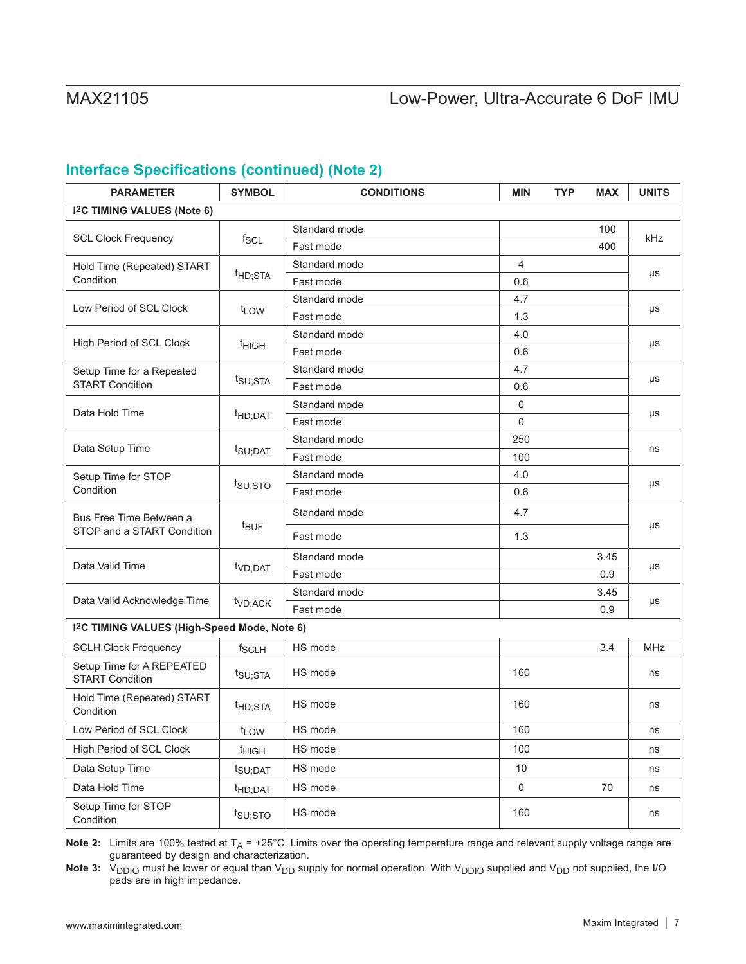## **Interface Specifications (continued) (Note 2)**

| <b>PARAMETER</b>                                         | <b>SYMBOL</b>       | <b>CONDITIONS</b> | <b>MIN</b>       | <b>TYP</b> | <b>MAX</b> | <b>UNITS</b> |
|----------------------------------------------------------|---------------------|-------------------|------------------|------------|------------|--------------|
| <b>I<sup>2</sup>C TIMING VALUES (Note 6)</b>             |                     |                   |                  |            |            |              |
|                                                          |                     | Standard mode     |                  |            | 100        |              |
| <b>SCL Clock Frequency</b>                               | $f_{SCL}$           | Fast mode         |                  |            | 400        | kHz          |
| Hold Time (Repeated) START                               |                     | Standard mode     | $\overline{4}$   |            |            |              |
| Condition                                                | <sup>t</sup> HD;STA | Fast mode         | 0.6              |            |            | μs           |
|                                                          |                     | Standard mode     | 4.7              |            |            |              |
| Low Period of SCL Clock                                  | t <sub>LOW</sub>    | Fast mode         | 1.3              |            |            | μs           |
| High Period of SCL Clock                                 |                     | Standard mode     | 4.0              |            |            |              |
|                                                          | t <sub>HIGH</sub>   | Fast mode         | 0.6              |            |            | $\mu s$      |
| Setup Time for a Repeated                                |                     | Standard mode     | 4.7              |            |            |              |
| t <sub>SU;STA</sub><br><b>START Condition</b>            | Fast mode           | 0.6               |                  |            | μs         |              |
| Data Hold Time                                           |                     | Standard mode     | $\mathbf 0$      |            |            |              |
|                                                          | t <sub>HD;DAT</sub> | Fast mode         | $\Omega$         |            |            | μs           |
| Data Setup Time                                          |                     | Standard mode     | 250              |            |            | ns           |
|                                                          | t <sub>SU;DAT</sub> | Fast mode         | 100              |            |            |              |
| Setup Time for STOP<br>Condition                         | t <sub>su;sto</sub> | Standard mode     | 4.0              |            |            | μs           |
|                                                          |                     | Fast mode         | 0.6              |            |            |              |
| Bus Free Time Between a                                  | $t_{\text{BUF}}$    | Standard mode     | 4.7              |            |            | μs           |
| STOP and a START Condition                               |                     | Fast mode         | 1.3              |            |            |              |
| Data Valid Time                                          | t <sub>VD;DAT</sub> | Standard mode     |                  |            | 3.45       | μs           |
|                                                          |                     | Fast mode         |                  |            | 0.9        |              |
| Data Valid Acknowledge Time                              | t <sub>VD;ACK</sub> | Standard mode     |                  |            | 3.45       | μs           |
|                                                          |                     | Fast mode         |                  |            | 0.9        |              |
| I <sup>2</sup> C TIMING VALUES (High-Speed Mode, Note 6) |                     |                   |                  |            |            |              |
| <b>SCLH Clock Frequency</b>                              | f <sub>SCLH</sub>   | HS mode           |                  |            | 3.4        | MHz          |
| Setup Time for A REPEATED<br><b>START Condition</b>      | t <sub>SU;STA</sub> | HS mode           | 160              |            |            | ns           |
| Hold Time (Repeated) START<br>Condition                  | t <sub>HD;STA</sub> | HS mode           | 160              |            |            | ns           |
| Low Period of SCL Clock                                  | t <sub>LOW</sub>    | HS mode           | 160              |            |            | ns           |
| High Period of SCL Clock                                 | t <sub>HIGH</sub>   | HS mode           | 100              |            |            | ns           |
| Data Setup Time                                          | t <sub>SU;DAT</sub> | HS mode           | 10               |            |            | ns           |
| Data Hold Time                                           | t <sub>HD;DAT</sub> | HS mode           | $\boldsymbol{0}$ |            | 70         | ns           |
| Setup Time for STOP<br>Condition                         | $t_{\text{SU;STO}}$ | HS mode           | 160              |            |            | ns           |

**Note 2:** Limits are 100% tested at  $T_A$  = +25°C. Limits over the operating temperature range and relevant supply voltage range are guaranteed by design and characterization.

Note 3: V<sub>DDIO</sub> must be lower or equal than V<sub>DD</sub> supply for normal operation. With V<sub>DDIO</sub> supplied and V<sub>DD</sub> not supplied, the I/O pads are in high impedance.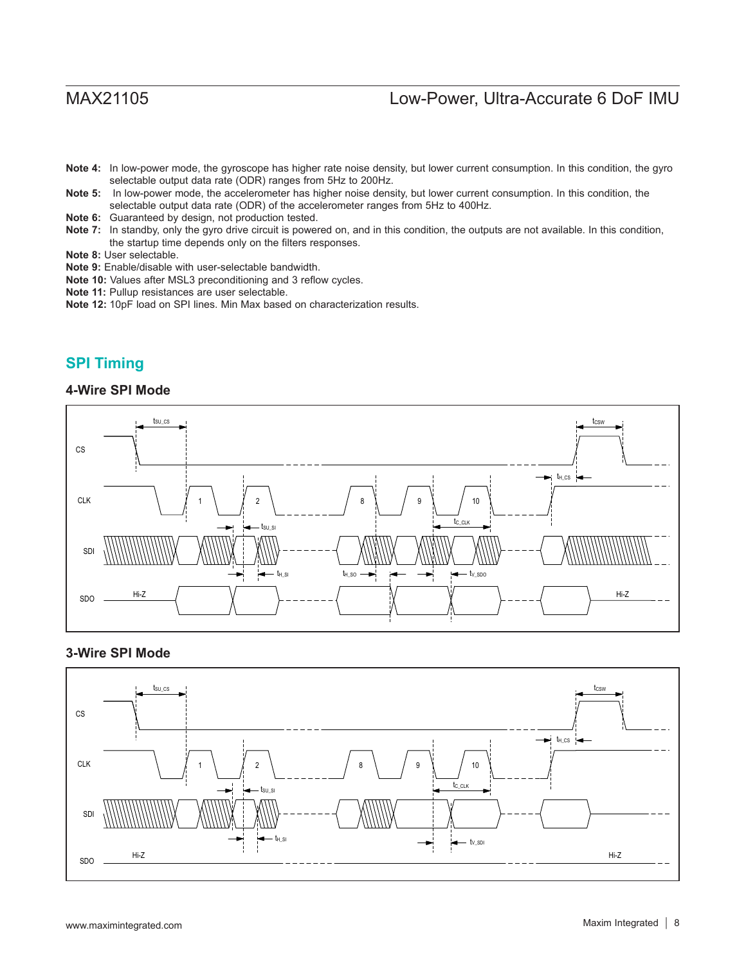- **Note 4:** In low-power mode, the gyroscope has higher rate noise density, but lower current consumption. In this condition, the gyro selectable output data rate (ODR) ranges from 5Hz to 200Hz.
- **Note 5:** In low-power mode, the accelerometer has higher noise density, but lower current consumption. In this condition, the selectable output data rate (ODR) of the accelerometer ranges from 5Hz to 400Hz.
- **Note 6:** Guaranteed by design, not production tested.
- Note 7: In standby, only the gyro drive circuit is powered on, and in this condition, the outputs are not available. In this condition, the startup time depends only on the filters responses.
- **Note 8:** User selectable.
- **Note 9:** Enable/disable with user-selectable bandwidth.
- **Note 10:** Values after MSL3 preconditioning and 3 reflow cycles.
- **Note 11:** Pullup resistances are user selectable.
- **Note 12:** 10pF load on SPI lines. Min Max based on characterization results.

## **SPI Timing**

### **4-Wire SPI Mode**



### **3-Wire SPI Mode**

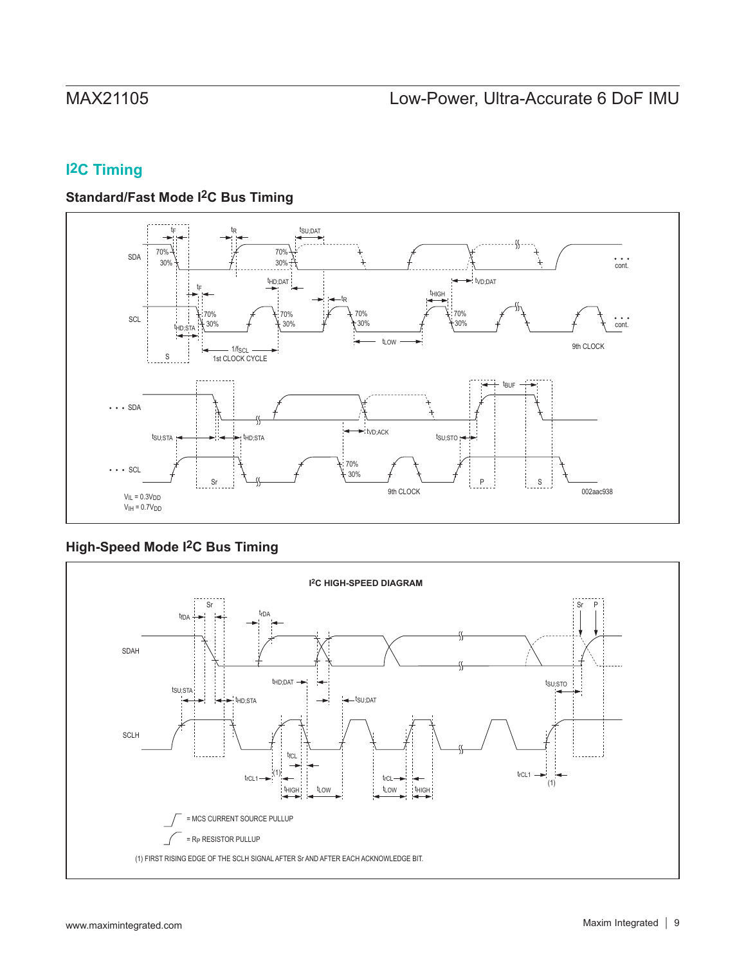# **I2C Timing**

## **Standard/Fast Mode I2C Bus Timing**



# **High-Speed Mode I2C Bus Timing**

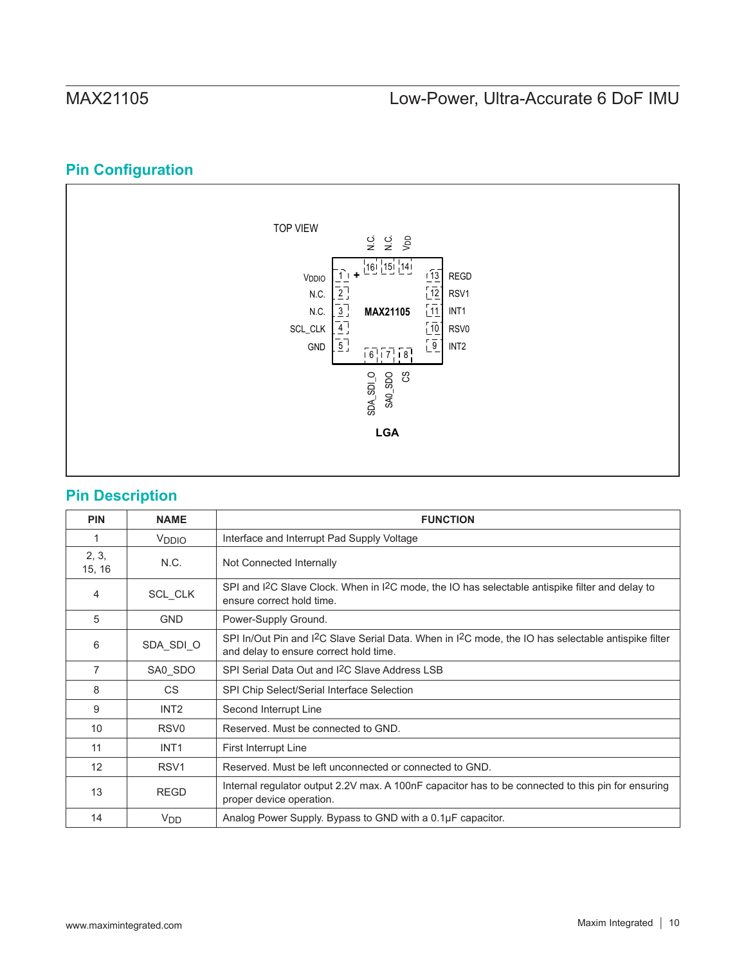# **Pin Configuration**



## **Pin Description**

| <b>PIN</b>      | <b>NAME</b>           | <b>FUNCTION</b>                                                                                                                                                        |
|-----------------|-----------------------|------------------------------------------------------------------------------------------------------------------------------------------------------------------------|
| 1               | V <sub>DDIO</sub>     | Interface and Interrupt Pad Supply Voltage                                                                                                                             |
| 2, 3,<br>15, 16 | N.C.                  | Not Connected Internally                                                                                                                                               |
| 4               | SCL_CLK               | SPI and $12C$ Slave Clock. When in $12C$ mode, the IO has selectable antispike filter and delay to<br>ensure correct hold time.                                        |
| 5               | <b>GND</b>            | Power-Supply Ground.                                                                                                                                                   |
| 6               | SDA_SDI_O             | SPI In/Out Pin and I <sup>2</sup> C Slave Serial Data. When in I <sup>2</sup> C mode, the IO has selectable antispike filter<br>and delay to ensure correct hold time. |
| 7               | SA0_SDO               | SPI Serial Data Out and I <sup>2</sup> C Slave Address LSB                                                                                                             |
| 8               | CS.                   | SPI Chip Select/Serial Interface Selection                                                                                                                             |
| 9               | INT <sub>2</sub>      | Second Interrupt Line                                                                                                                                                  |
| 10              | RSV <sub>0</sub>      | Reserved. Must be connected to GND.                                                                                                                                    |
| 11              | INT <sub>1</sub>      | <b>First Interrupt Line</b>                                                                                                                                            |
| 12              | RSV <sub>1</sub>      | Reserved. Must be left unconnected or connected to GND.                                                                                                                |
| 13              | <b>REGD</b>           | Internal regulator output 2.2V max. A 100nF capacitor has to be connected to this pin for ensuring<br>proper device operation.                                         |
| 14              | <b>V<sub>DD</sub></b> | Analog Power Supply. Bypass to GND with a 0.1µF capacitor.                                                                                                             |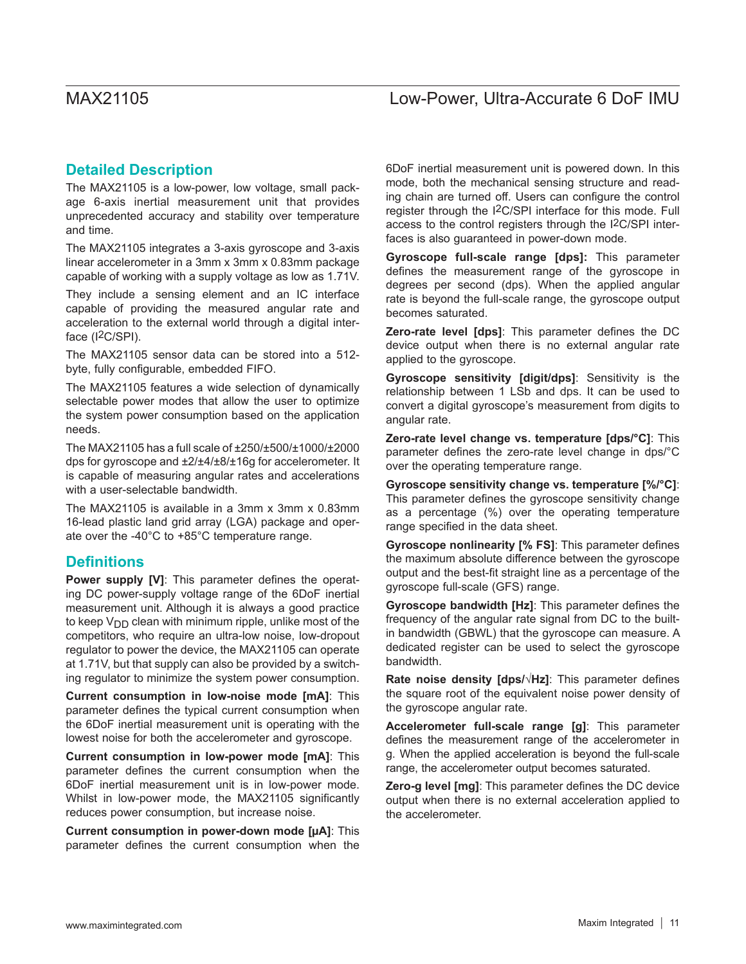## **Detailed Description**

The MAX21105 is a low-power, low voltage, small package 6-axis inertial measurement unit that provides unprecedented accuracy and stability over temperature and time.

The MAX21105 integrates a 3-axis gyroscope and 3-axis linear accelerometer in a 3mm x 3mm x 0.83mm package capable of working with a supply voltage as low as 1.71V.

They include a sensing element and an IC interface capable of providing the measured angular rate and acceleration to the external world through a digital interface (I<sup>2</sup>C/SPI).

The MAX21105 sensor data can be stored into a 512 byte, fully configurable, embedded FIFO.

The MAX21105 features a wide selection of dynamically selectable power modes that allow the user to optimize the system power consumption based on the application needs.

The MAX21105 has a full scale of ±250/±500/±1000/±2000 dps for gyroscope and ±2/±4/±8/±16g for accelerometer. It is capable of measuring angular rates and accelerations with a user-selectable bandwidth.

The MAX21105 is available in a 3mm x 3mm x 0.83mm 16-lead plastic land grid array (LGA) package and operate over the -40°C to +85°C temperature range.

## **Definitions**

**Power supply [V]**: This parameter defines the operating DC power-supply voltage range of the 6DoF inertial measurement unit. Although it is always a good practice to keep  $V_{\text{DD}}$  clean with minimum ripple, unlike most of the competitors, who require an ultra-low noise, low-dropout regulator to power the device, the MAX21105 can operate at 1.71V, but that supply can also be provided by a switching regulator to minimize the system power consumption.

**Current consumption in low-noise mode [mA]**: This parameter defines the typical current consumption when the 6DoF inertial measurement unit is operating with the lowest noise for both the accelerometer and gyroscope.

**Current consumption in low-power mode [mA]**: This parameter defines the current consumption when the 6DoF inertial measurement unit is in low-power mode. Whilst in low-power mode, the MAX21105 significantly reduces power consumption, but increase noise.

**Current consumption in power-down mode [µA]**: This parameter defines the current consumption when the

6DoF inertial measurement unit is powered down. In this mode, both the mechanical sensing structure and reading chain are turned off. Users can configure the control register through the I2C/SPI interface for this mode. Full access to the control registers through the I2C/SPI interfaces is also guaranteed in power-down mode.

**Gyroscope full-scale range [dps]:** This parameter defines the measurement range of the gyroscope in degrees per second (dps). When the applied angular rate is beyond the full-scale range, the gyroscope output becomes saturated.

**Zero-rate level [dps]**: This parameter defines the DC device output when there is no external angular rate applied to the gyroscope.

**Gyroscope sensitivity [digit/dps]**: Sensitivity is the relationship between 1 LSb and dps. It can be used to convert a digital gyroscope's measurement from digits to angular rate.

**Zero-rate level change vs. temperature [dps/°C]**: This parameter defines the zero-rate level change in dps/°C over the operating temperature range.

**Gyroscope sensitivity change vs. temperature [%/°C]**: This parameter defines the gyroscope sensitivity change as a percentage (%) over the operating temperature range specified in the data sheet.

**Gyroscope nonlinearity [% FS]**: This parameter defines the maximum absolute difference between the gyroscope output and the best-fit straight line as a percentage of the gyroscope full-scale (GFS) range.

**Gyroscope bandwidth [Hz]**: This parameter defines the frequency of the angular rate signal from DC to the builtin bandwidth (GBWL) that the gyroscope can measure. A dedicated register can be used to select the gyroscope bandwidth.

**Rate noise density [dps/√Hz]**: This parameter defines the square root of the equivalent noise power density of the gyroscope angular rate.

**Accelerometer full-scale range [g]**: This parameter defines the measurement range of the accelerometer in g. When the applied acceleration is beyond the full-scale range, the accelerometer output becomes saturated.

**Zero-g level [mg]**: This parameter defines the DC device output when there is no external acceleration applied to the accelerometer.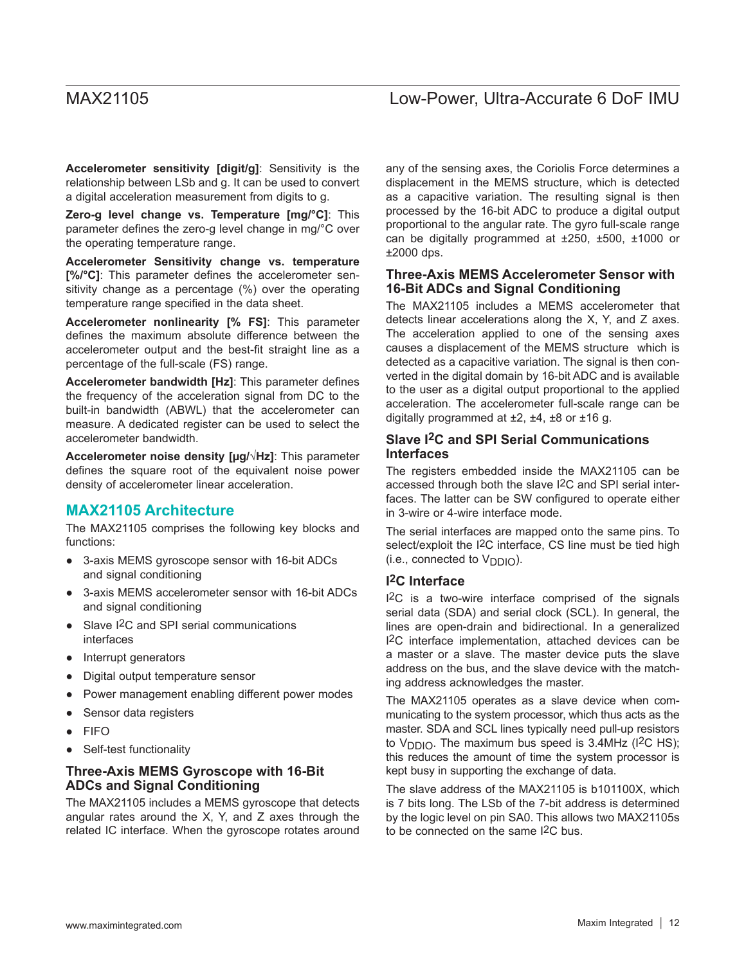**Accelerometer sensitivity [digit/g]**: Sensitivity is the relationship between LSb and g. It can be used to convert a digital acceleration measurement from digits to g.

**Zero-g level change vs. Temperature [mg/°C]**: This parameter defines the zero-g level change in mg/°C over the operating temperature range.

**Accelerometer Sensitivity change vs. temperature [%/°C]**: This parameter defines the accelerometer sensitivity change as a percentage (%) over the operating temperature range specified in the data sheet.

**Accelerometer nonlinearity [% FS]**: This parameter defines the maximum absolute difference between the accelerometer output and the best-fit straight line as a percentage of the full-scale (FS) range.

**Accelerometer bandwidth [Hz]**: This parameter defines the frequency of the acceleration signal from DC to the built-in bandwidth (ABWL) that the accelerometer can measure. A dedicated register can be used to select the accelerometer bandwidth.

**Accelerometer noise density [µg/√Hz]**: This parameter defines the square root of the equivalent noise power density of accelerometer linear acceleration.

## **MAX21105 Architecture**

The MAX21105 comprises the following key blocks and functions:

- 3-axis MEMS gyroscope sensor with 16-bit ADCs and signal conditioning
- 3-axis MEMS accelerometer sensor with 16-bit ADCs and signal conditioning
- Slave I<sup>2</sup>C and SPI serial communications interfaces
- Interrupt generators
- Digital output temperature sensor
- Power management enabling different power modes
- Sensor data registers
- **FIFO**
- Self-test functionality

### **Three-Axis MEMS Gyroscope with 16-Bit ADCs and Signal Conditioning**

The MAX21105 includes a MEMS gyroscope that detects angular rates around the X, Y, and Z axes through the related IC interface. When the gyroscope rotates around any of the sensing axes, the Coriolis Force determines a displacement in the MEMS structure, which is detected as a capacitive variation. The resulting signal is then processed by the 16-bit ADC to produce a digital output proportional to the angular rate. The gyro full-scale range can be digitally programmed at ±250, ±500, ±1000 or ±2000 dps.

### **Three-Axis MEMS Accelerometer Sensor with 16-Bit ADCs and Signal Conditioning**

The MAX21105 includes a MEMS accelerometer that detects linear accelerations along the X, Y, and Z axes. The acceleration applied to one of the sensing axes causes a displacement of the MEMS structure which is detected as a capacitive variation. The signal is then converted in the digital domain by 16-bit ADC and is available to the user as a digital output proportional to the applied acceleration. The accelerometer full-scale range can be digitally programmed at  $\pm 2$ ,  $\pm 4$ ,  $\pm 8$  or  $\pm 16$  g.

### **Slave I2C and SPI Serial Communications Interfaces**

The registers embedded inside the MAX21105 can be accessed through both the slave I2C and SPI serial interfaces. The latter can be SW configured to operate either in 3-wire or 4-wire interface mode.

The serial interfaces are mapped onto the same pins. To select/exploit the I<sup>2</sup>C interface, CS line must be tied high (i.e., connected to  $V_{\text{DDIO}}$ ).

### **I2C Interface**

I2C is a two-wire interface comprised of the signals serial data (SDA) and serial clock (SCL). In general, the lines are open-drain and bidirectional. In a generalized I2C interface implementation, attached devices can be a master or a slave. The master device puts the slave address on the bus, and the slave device with the matching address acknowledges the master.

The MAX21105 operates as a slave device when communicating to the system processor, which thus acts as the master. SDA and SCL lines typically need pull-up resistors to  $V_{\text{DDIO}}$ . The maximum bus speed is 3.4MHz (I<sup>2</sup>C HS); this reduces the amount of time the system processor is kept busy in supporting the exchange of data.

The slave address of the MAX21105 is b101100X, which is 7 bits long. The LSb of the 7-bit address is determined by the logic level on pin SA0. This allows two MAX21105s to be connected on the same I2C bus.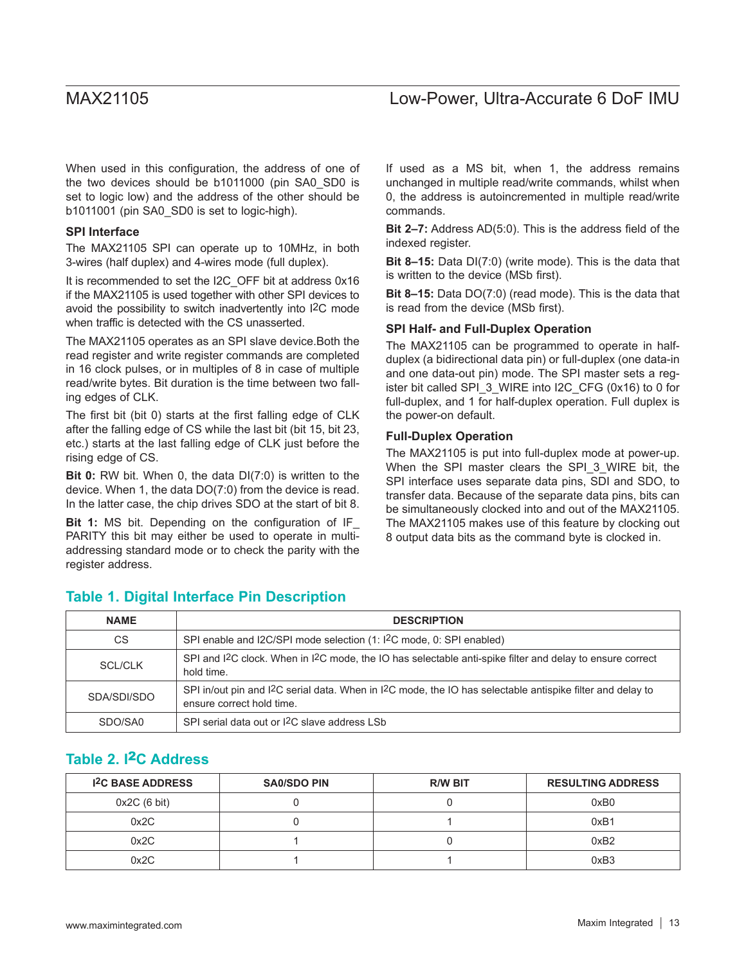When used in this configuration, the address of one of the two devices should be b1011000 (pin SA0\_SD0 is set to logic low) and the address of the other should be b1011001 (pin SA0\_SD0 is set to logic-high).

#### **SPI Interface**

The MAX21105 SPI can operate up to 10MHz, in both 3-wires (half duplex) and 4-wires mode (full duplex).

It is recommended to set the I2C\_OFF bit at address 0x16 if the MAX21105 is used together with other SPI devices to avoid the possibility to switch inadvertently into I2C mode when traffic is detected with the CS unasserted.

The MAX21105 operates as an SPI slave device.Both the read register and write register commands are completed in 16 clock pulses, or in multiples of 8 in case of multiple read/write bytes. Bit duration is the time between two falling edges of CLK.

The first bit (bit 0) starts at the first falling edge of CLK after the falling edge of CS while the last bit (bit 15, bit 23, etc.) starts at the last falling edge of CLK just before the rising edge of CS.

**Bit 0:** RW bit. When 0, the data DI(7:0) is written to the device. When 1, the data DO(7:0) from the device is read. In the latter case, the chip drives SDO at the start of bit 8.

**Bit 1:** MS bit. Depending on the configuration of IF\_ PARITY this bit may either be used to operate in multiaddressing standard mode or to check the parity with the register address.

If used as a MS bit, when 1, the address remains unchanged in multiple read/write commands, whilst when 0, the address is autoincremented in multiple read/write commands.

**Bit 2–7:** Address AD(5:0). This is the address field of the indexed register.

**Bit 8–15:** Data DI(7:0) (write mode). This is the data that is written to the device (MSb first).

**Bit 8–15:** Data DO(7:0) (read mode). This is the data that is read from the device (MSb first).

#### **SPI Half- and Full-Duplex Operation**

The MAX21105 can be programmed to operate in halfduplex (a bidirectional data pin) or full-duplex (one data-in and one data-out pin) mode. The SPI master sets a register bit called SPI\_3\_WIRE into I2C\_CFG (0x16) to 0 for full-duplex, and 1 for half-duplex operation. Full duplex is the power-on default.

#### **Full-Duplex Operation**

The MAX21105 is put into full-duplex mode at power-up. When the SPI master clears the SPI\_3\_WIRE bit, the SPI interface uses separate data pins, SDI and SDO, to transfer data. Because of the separate data pins, bits can be simultaneously clocked into and out of the MAX21105. The MAX21105 makes use of this feature by clocking out 8 output data bits as the command byte is clocked in.

## **Table 1. Digital Interface Pin Description**

| <b>NAME</b>    | <b>DESCRIPTION</b>                                                                                                                                               |
|----------------|------------------------------------------------------------------------------------------------------------------------------------------------------------------|
| <b>CS</b>      | SPI enable and I2C/SPI mode selection (1: I <sup>2</sup> C mode, 0: SPI enabled)                                                                                 |
| <b>SCL/CLK</b> | SPI and I <sup>2</sup> C clock. When in I <sup>2</sup> C mode, the IO has selectable anti-spike filter and delay to ensure correct<br>hold time.                 |
| SDA/SDI/SDO    | SPI in/out pin and I <sup>2</sup> C serial data. When in I <sup>2</sup> C mode, the IO has selectable antispike filter and delay to<br>ensure correct hold time. |
| SDO/SA0        | SPI serial data out or I <sup>2</sup> C slave address LSb                                                                                                        |

## **Table 2. I**2**C Address**

| <b>I<sup>2</sup>C BASE ADDRESS</b> | <b>SA0/SDO PIN</b> | <b>R/W BIT</b> | <b>RESULTING ADDRESS</b> |
|------------------------------------|--------------------|----------------|--------------------------|
| 0x2C(6 bit)                        |                    |                | 0xB0                     |
| 0x2C                               |                    |                | 0xB1                     |
| 0x2C                               |                    |                | 0xB2                     |
| 0x2C                               |                    |                | 0xB3                     |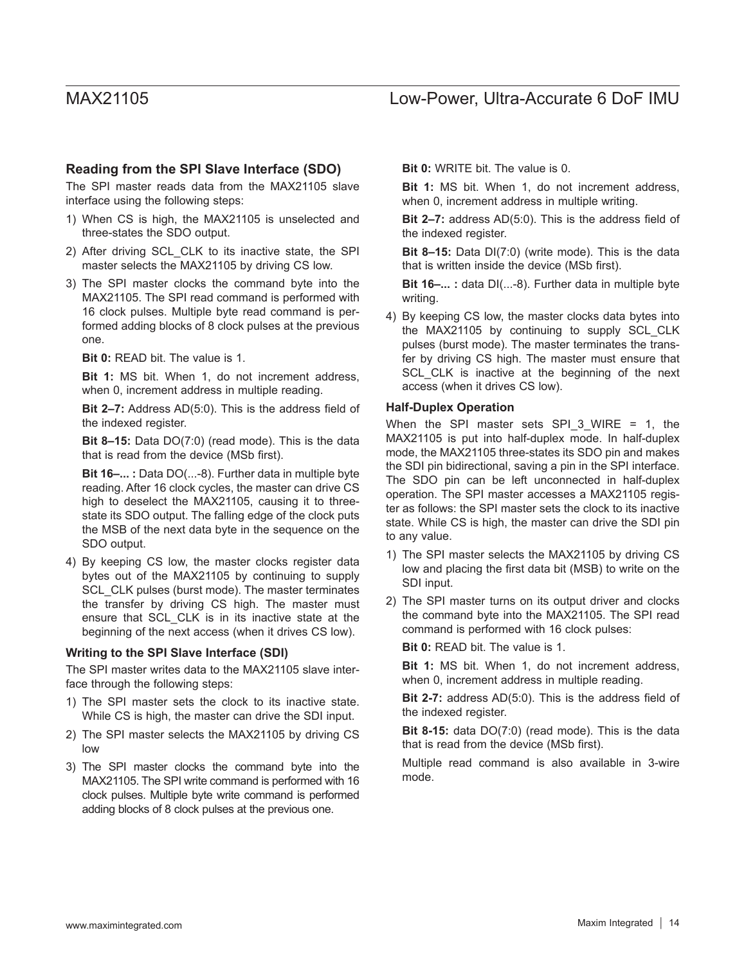### **Reading from the SPI Slave Interface (SDO)**

The SPI master reads data from the MAX21105 slave interface using the following steps:

- 1) When CS is high, the MAX21105 is unselected and three-states the SDO output.
- 2) After driving SCL\_CLK to its inactive state, the SPI master selects the MAX21105 by driving CS low.
- 3) The SPI master clocks the command byte into the MAX21105. The SPI read command is performed with 16 clock pulses. Multiple byte read command is performed adding blocks of 8 clock pulses at the previous one.

**Bit 0:** READ bit. The value is 1.

**Bit 1:** MS bit. When 1, do not increment address, when 0, increment address in multiple reading.

**Bit 2–7:** Address AD(5:0). This is the address field of the indexed register.

**Bit 8–15:** Data DO(7:0) (read mode). This is the data that is read from the device (MSb first).

**Bit 16–... :** Data DO(...-8). Further data in multiple byte reading. After 16 clock cycles, the master can drive CS high to deselect the MAX21105, causing it to threestate its SDO output. The falling edge of the clock puts the MSB of the next data byte in the sequence on the SDO output.

4) By keeping CS low, the master clocks register data bytes out of the MAX21105 by continuing to supply SCL\_CLK pulses (burst mode). The master terminates the transfer by driving CS high. The master must ensure that SCL\_CLK is in its inactive state at the beginning of the next access (when it drives CS low).

#### **Writing to the SPI Slave Interface (SDI)**

The SPI master writes data to the MAX21105 slave interface through the following steps:

- 1) The SPI master sets the clock to its inactive state. While CS is high, the master can drive the SDI input.
- 2) The SPI master selects the MAX21105 by driving CS low
- 3) The SPI master clocks the command byte into the MAX21105. The SPI write command is performed with 16 clock pulses. Multiple byte write command is performed adding blocks of 8 clock pulses at the previous one.

**Bit 0:** WRITE bit. The value is 0.

**Bit 1:** MS bit. When 1, do not increment address, when 0, increment address in multiple writing.

**Bit 2–7:** address AD(5:0). This is the address field of the indexed register.

**Bit 8–15:** Data DI(7:0) (write mode). This is the data that is written inside the device (MSb first).

**Bit 16–... :** data DI(...-8). Further data in multiple byte writing.

4) By keeping CS low, the master clocks data bytes into the MAX21105 by continuing to supply SCL\_CLK pulses (burst mode). The master terminates the transfer by driving CS high. The master must ensure that SCL CLK is inactive at the beginning of the next access (when it drives CS low).

#### **Half-Duplex Operation**

When the SPI master sets SPI\_3\_WIRE = 1, the MAX21105 is put into half-duplex mode. In half-duplex mode, the MAX21105 three-states its SDO pin and makes the SDI pin bidirectional, saving a pin in the SPI interface. The SDO pin can be left unconnected in half-duplex operation. The SPI master accesses a MAX21105 register as follows: the SPI master sets the clock to its inactive state. While CS is high, the master can drive the SDI pin to any value.

- 1) The SPI master selects the MAX21105 by driving CS low and placing the first data bit (MSB) to write on the SDI input.
- 2) The SPI master turns on its output driver and clocks the command byte into the MAX21105. The SPI read command is performed with 16 clock pulses:

**Bit 0:** READ bit. The value is 1.

**Bit 1:** MS bit. When 1, do not increment address, when 0, increment address in multiple reading.

**Bit 2-7:** address AD(5:0). This is the address field of the indexed register.

**Bit 8-15:** data DO(7:0) (read mode). This is the data that is read from the device (MSb first).

Multiple read command is also available in 3-wire mode.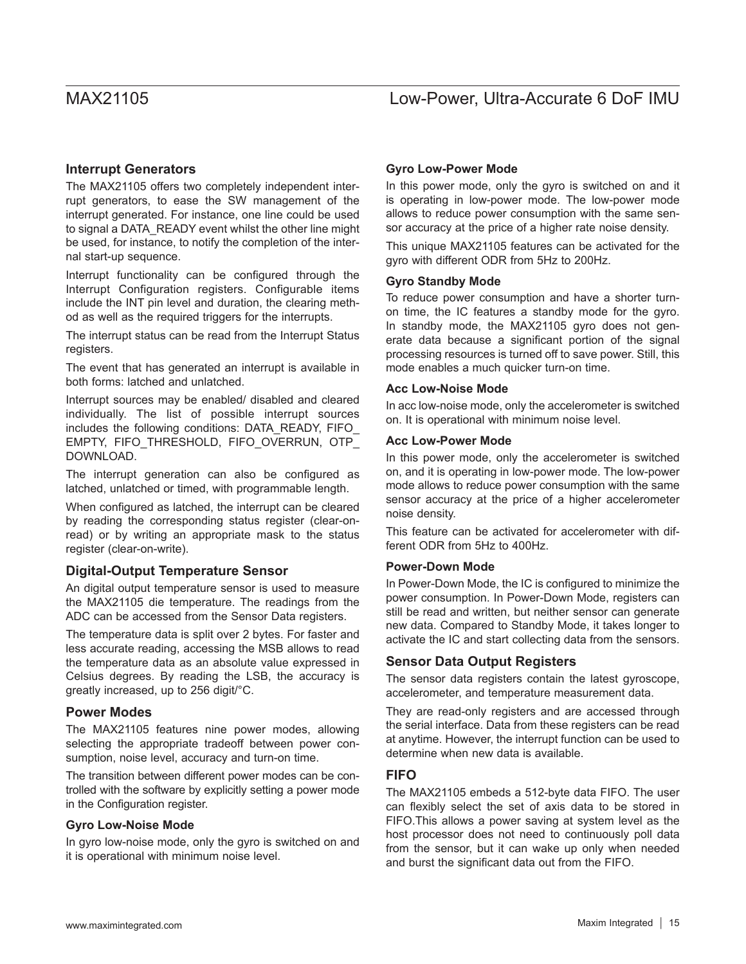### **Interrupt Generators**

The MAX21105 offers two completely independent interrupt generators, to ease the SW management of the interrupt generated. For instance, one line could be used to signal a DATA\_READY event whilst the other line might be used, for instance, to notify the completion of the internal start-up sequence.

Interrupt functionality can be configured through the Interrupt Configuration registers. Configurable items include the INT pin level and duration, the clearing method as well as the required triggers for the interrupts.

The interrupt status can be read from the Interrupt Status registers.

The event that has generated an interrupt is available in both forms: latched and unlatched.

Interrupt sources may be enabled/ disabled and cleared individually. The list of possible interrupt sources includes the following conditions: DATA\_READY, FIFO EMPTY, FIFO\_THRESHOLD, FIFO\_OVERRUN, OTP\_ DOWNLOAD.

The interrupt generation can also be configured as latched, unlatched or timed, with programmable length.

When configured as latched, the interrupt can be cleared by reading the corresponding status register (clear-onread) or by writing an appropriate mask to the status register (clear-on-write).

### **Digital-Output Temperature Sensor**

An digital output temperature sensor is used to measure the MAX21105 die temperature. The readings from the ADC can be accessed from the Sensor Data registers.

The temperature data is split over 2 bytes. For faster and less accurate reading, accessing the MSB allows to read the temperature data as an absolute value expressed in Celsius degrees. By reading the LSB, the accuracy is greatly increased, up to 256 digit/°C.

### **Power Modes**

The MAX21105 features nine power modes, allowing selecting the appropriate tradeoff between power consumption, noise level, accuracy and turn-on time.

The transition between different power modes can be controlled with the software by explicitly setting a power mode in the Configuration register.

### **Gyro Low-Noise Mode**

In gyro low-noise mode, only the gyro is switched on and it is operational with minimum noise level.

### **Gyro Low-Power Mode**

In this power mode, only the gyro is switched on and it is operating in low-power mode. The low-power mode allows to reduce power consumption with the same sensor accuracy at the price of a higher rate noise density.

This unique MAX21105 features can be activated for the gyro with different ODR from 5Hz to 200Hz.

### **Gyro Standby Mode**

To reduce power consumption and have a shorter turnon time, the IC features a standby mode for the gyro. In standby mode, the MAX21105 gyro does not generate data because a significant portion of the signal processing resources is turned off to save power. Still, this mode enables a much quicker turn-on time.

### **Acc Low-Noise Mode**

In acc low-noise mode, only the accelerometer is switched on. It is operational with minimum noise level.

### **Acc Low-Power Mode**

In this power mode, only the accelerometer is switched on, and it is operating in low-power mode. The low-power mode allows to reduce power consumption with the same sensor accuracy at the price of a higher accelerometer noise density.

This feature can be activated for accelerometer with different ODR from 5Hz to 400Hz.

### **Power-Down Mode**

In Power-Down Mode, the IC is configured to minimize the power consumption. In Power-Down Mode, registers can still be read and written, but neither sensor can generate new data. Compared to Standby Mode, it takes longer to activate the IC and start collecting data from the sensors.

### **Sensor Data Output Registers**

The sensor data registers contain the latest gyroscope, accelerometer, and temperature measurement data.

They are read-only registers and are accessed through the serial interface. Data from these registers can be read at anytime. However, the interrupt function can be used to determine when new data is available.

### **FIFO**

The MAX21105 embeds a 512-byte data FIFO. The user can flexibly select the set of axis data to be stored in FIFO.This allows a power saving at system level as the host processor does not need to continuously poll data from the sensor, but it can wake up only when needed and burst the significant data out from the FIFO.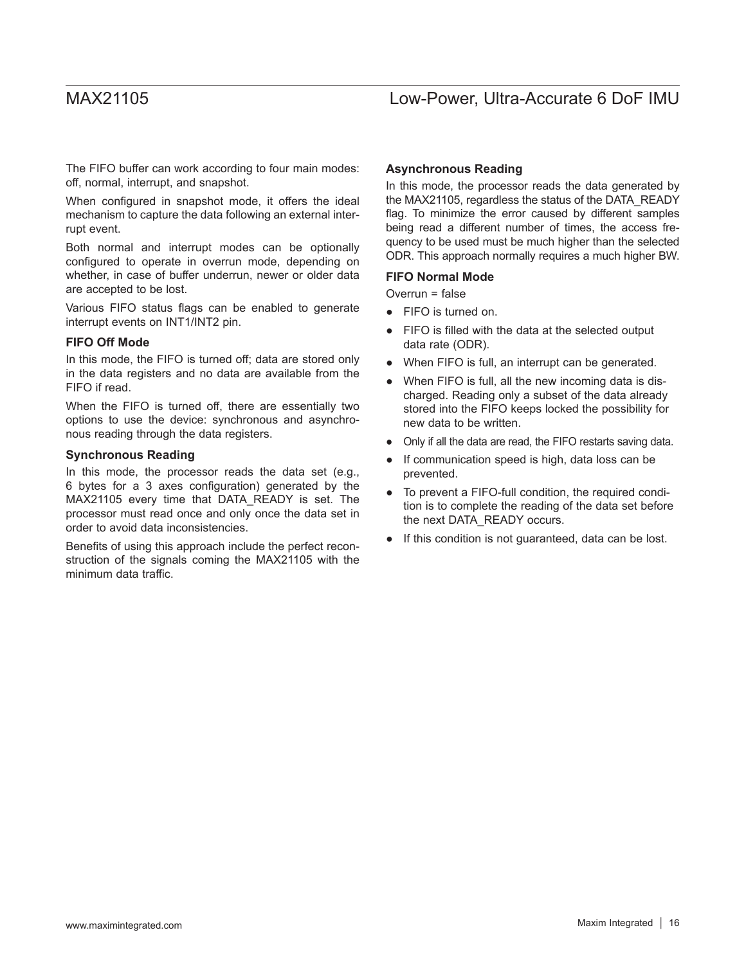The FIFO buffer can work according to four main modes: off, normal, interrupt, and snapshot.

When configured in snapshot mode, it offers the ideal mechanism to capture the data following an external interrupt event.

Both normal and interrupt modes can be optionally configured to operate in overrun mode, depending on whether, in case of buffer underrun, newer or older data are accepted to be lost.

Various FIFO status flags can be enabled to generate interrupt events on INT1/INT2 pin.

#### **FIFO Off Mode**

In this mode, the FIFO is turned off; data are stored only in the data registers and no data are available from the FIFO if read.

When the FIFO is turned off, there are essentially two options to use the device: synchronous and asynchronous reading through the data registers.

#### **Synchronous Reading**

In this mode, the processor reads the data set (e.g., 6 bytes for a 3 axes configuration) generated by the MAX21105 every time that DATA\_READY is set. The processor must read once and only once the data set in order to avoid data inconsistencies.

Benefits of using this approach include the perfect reconstruction of the signals coming the MAX21105 with the minimum data traffic.

#### **Asynchronous Reading**

In this mode, the processor reads the data generated by the MAX21105, regardless the status of the DATA\_READY flag. To minimize the error caused by different samples being read a different number of times, the access frequency to be used must be much higher than the selected ODR. This approach normally requires a much higher BW.

#### **FIFO Normal Mode**

Overrun = false

- FIFO is turned on.
- FIFO is filled with the data at the selected output data rate (ODR).
- When FIFO is full, an interrupt can be generated.
- When FIFO is full, all the new incoming data is discharged. Reading only a subset of the data already stored into the FIFO keeps locked the possibility for new data to be written.
- Only if all the data are read, the FIFO restarts saving data.
- If communication speed is high, data loss can be prevented.
- To prevent a FIFO-full condition, the required condition is to complete the reading of the data set before the next DATA\_READY occurs.
- If this condition is not guaranteed, data can be lost.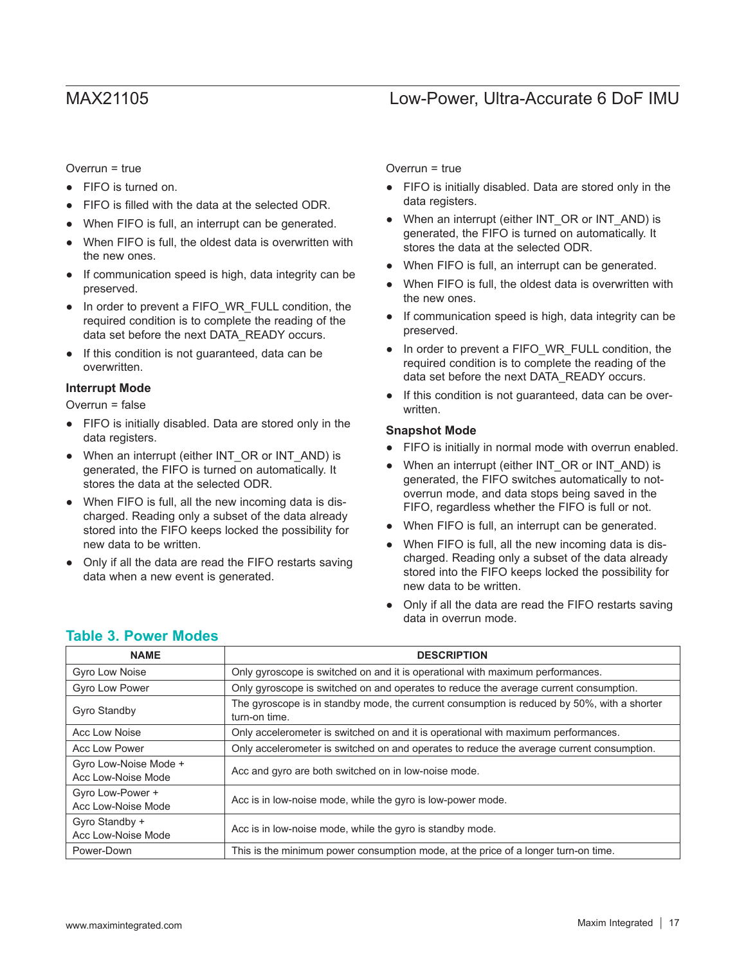Overrun = true

- FIFO is turned on.
- FIFO is filled with the data at the selected ODR.
- When FIFO is full, an interrupt can be generated.
- When FIFO is full, the oldest data is overwritten with the new ones.
- If communication speed is high, data integrity can be preserved.
- In order to prevent a FIFO\_WR\_FULL condition, the required condition is to complete the reading of the data set before the next DATA\_READY occurs.
- If this condition is not guaranteed, data can be overwritten.

### **Interrupt Mode**

Overrun = false

- FIFO is initially disabled. Data are stored only in the data registers.
- When an interrupt (either INT\_OR or INT\_AND) is generated, the FIFO is turned on automatically. It stores the data at the selected ODR.
- When FIFO is full, all the new incoming data is discharged. Reading only a subset of the data already stored into the FIFO keeps locked the possibility for new data to be written.
- Only if all the data are read the FIFO restarts saving data when a new event is generated.

Overrun = true

- FIFO is initially disabled. Data are stored only in the data registers.
- When an interrupt (either INT\_OR or INT\_AND) is generated, the FIFO is turned on automatically. It stores the data at the selected ODR.
- When FIFO is full, an interrupt can be generated.
- When FIFO is full, the oldest data is overwritten with the new ones.
- If communication speed is high, data integrity can be preserved.
- In order to prevent a FIFO WR FULL condition, the required condition is to complete the reading of the data set before the next DATA\_READY occurs.
- If this condition is not guaranteed, data can be overwritten.

### **Snapshot Mode**

- FIFO is initially in normal mode with overrun enabled.
- When an interrupt (either INT\_OR or INT\_AND) is generated, the FIFO switches automatically to notoverrun mode, and data stops being saved in the FIFO, regardless whether the FIFO is full or not.
- When FIFO is full, an interrupt can be generated.
- When FIFO is full, all the new incoming data is discharged. Reading only a subset of the data already stored into the FIFO keeps locked the possibility for new data to be written.
- Only if all the data are read the FIFO restarts saving data in overrun mode.

| <b>NAME</b>                                 | <b>DESCRIPTION</b>                                                                                           |
|---------------------------------------------|--------------------------------------------------------------------------------------------------------------|
| Gyro Low Noise                              | Only gyroscope is switched on and it is operational with maximum performances.                               |
| Gyro Low Power                              | Only gyroscope is switched on and operates to reduce the average current consumption.                        |
| Gyro Standby                                | The gyroscope is in standby mode, the current consumption is reduced by 50%, with a shorter<br>turn-on time. |
| Acc Low Noise                               | Only accelerometer is switched on and it is operational with maximum performances.                           |
| Acc Low Power                               | Only accelerometer is switched on and operates to reduce the average current consumption.                    |
| Gyro Low-Noise Mode +<br>Acc Low-Noise Mode | Acc and gyro are both switched on in low-noise mode.                                                         |
| Gyro Low-Power +<br>Acc Low-Noise Mode      | Acc is in low-noise mode, while the gyro is low-power mode.                                                  |
| Gyro Standby +<br>Acc Low-Noise Mode        | Acc is in low-noise mode, while the gyro is standby mode.                                                    |
| Power-Down                                  | This is the minimum power consumption mode, at the price of a longer turn-on time.                           |

## **Table 3. Power Modes**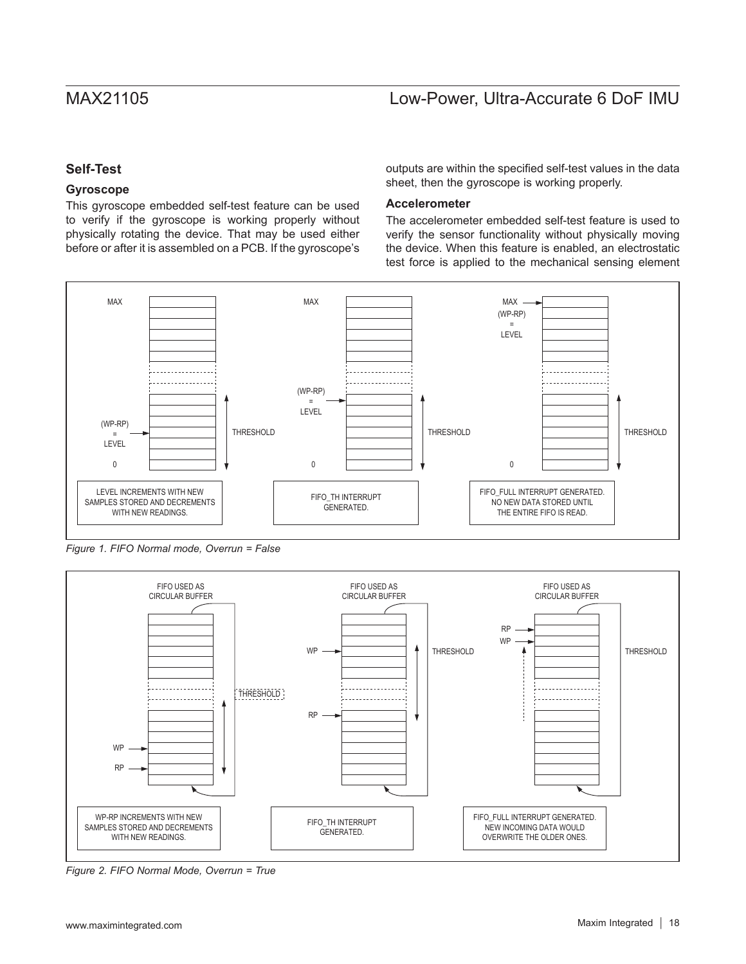## **Self-Test**

### **Gyroscope**

This gyroscope embedded self-test feature can be used to verify if the gyroscope is working properly without physically rotating the device. That may be used either before or after it is assembled on a PCB. If the gyroscope's outputs are within the specified self-test values in the data sheet, then the gyroscope is working properly.

### **Accelerometer**

The accelerometer embedded self-test feature is used to verify the sensor functionality without physically moving the device. When this feature is enabled, an electrostatic test force is applied to the mechanical sensing element



*Figure 1. FIFO Normal mode, Overrun = False* 



*Figure 2. FIFO Normal Mode, Overrun = True*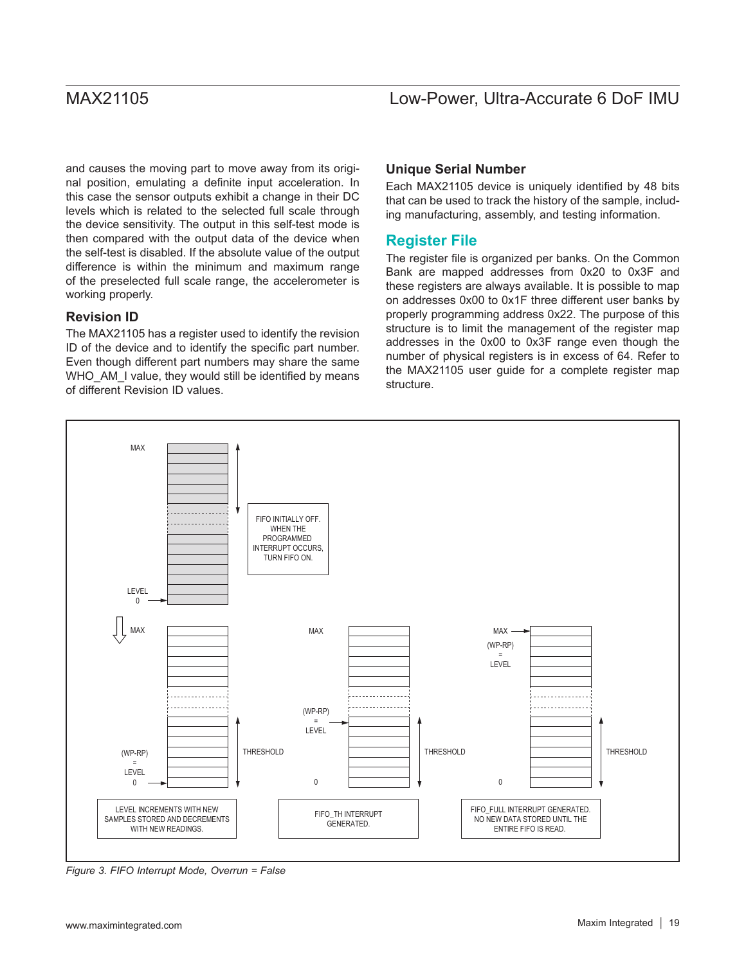and causes the moving part to move away from its original position, emulating a definite input acceleration. In this case the sensor outputs exhibit a change in their DC levels which is related to the selected full scale through the device sensitivity. The output in this self-test mode is then compared with the output data of the device when the self-test is disabled. If the absolute value of the output difference is within the minimum and maximum range of the preselected full scale range, the accelerometer is working properly.

### **Revision ID**

The MAX21105 has a register used to identify the revision ID of the device and to identify the specific part number. Even though different part numbers may share the same WHO\_AM\_I value, they would still be identified by means of different Revision ID values.

### **Unique Serial Number**

Each MAX21105 device is uniquely identified by 48 bits that can be used to track the history of the sample, including manufacturing, assembly, and testing information.

## **Register File**

The register file is organized per banks. On the Common Bank are mapped addresses from 0x20 to 0x3F and these registers are always available. It is possible to map on addresses 0x00 to 0x1F three different user banks by properly programming address 0x22. The purpose of this structure is to limit the management of the register map addresses in the 0x00 to 0x3F range even though the number of physical registers is in excess of 64. Refer to the MAX21105 user guide for a complete register map structure.



*Figure 3. FIFO Interrupt Mode, Overrun = False*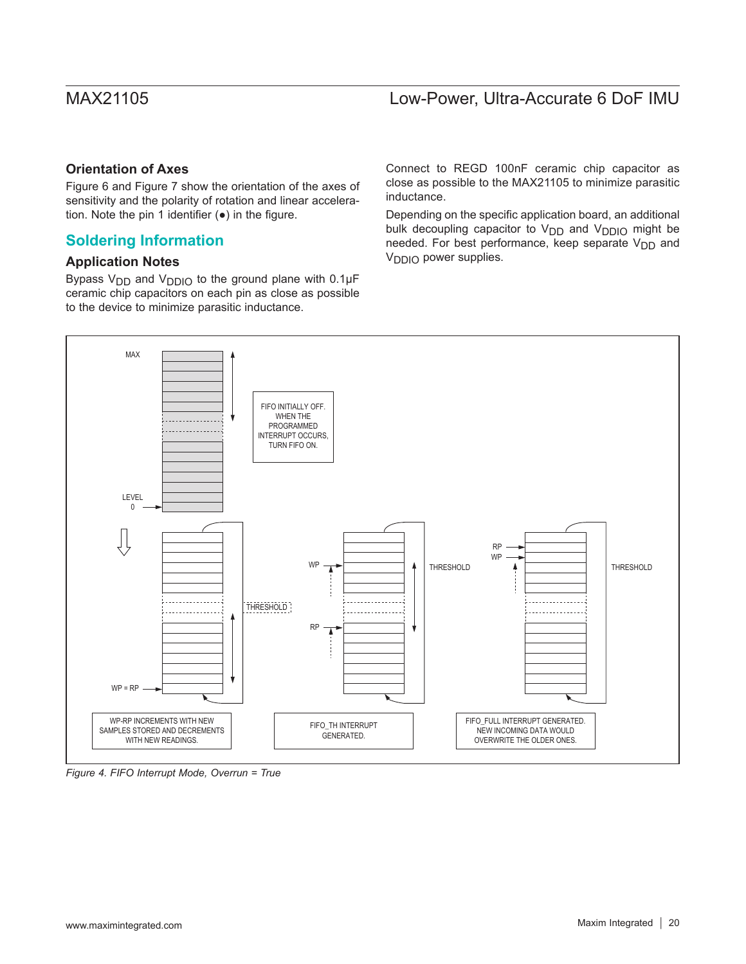## **Orientation of Axes**

Figure 6 and Figure 7 show the orientation of the axes of sensitivity and the polarity of rotation and linear acceleration. Note the pin 1 identifier (●) in the figure.

## **Soldering Information**

### **Application Notes**

Bypass  $V_{DD}$  and  $V_{DDIO}$  to the ground plane with 0.1 $\mu$ F ceramic chip capacitors on each pin as close as possible to the device to minimize parasitic inductance.

Connect to REGD 100nF ceramic chip capacitor as close as possible to the MAX21105 to minimize parasitic inductance.

Depending on the specific application board, an additional bulk decoupling capacitor to V<sub>DD</sub> and V<sub>DDIO</sub> might be needed. For best performance, keep separate  $V_{DD}$  and V<sub>DDIO</sub> power supplies.



*Figure 4. FIFO Interrupt Mode, Overrun = True*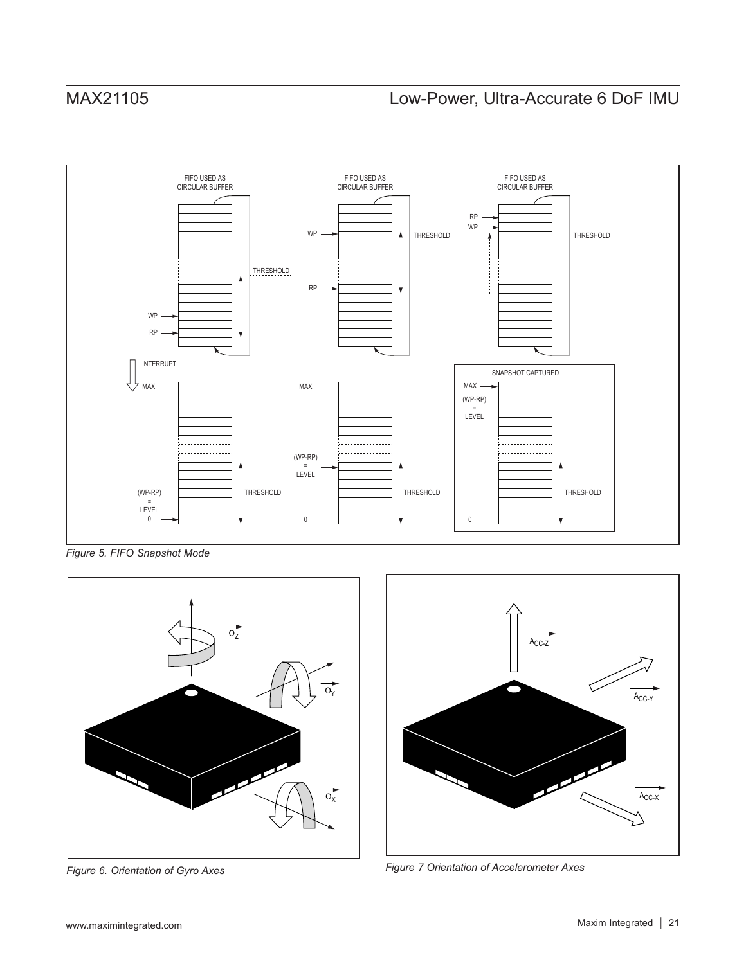

*Figure 5. FIFO Snapshot Mode*



*Figure 6. Orientation of Gyro Axes*



*Figure 7 Orientation of Accelerometer Axes*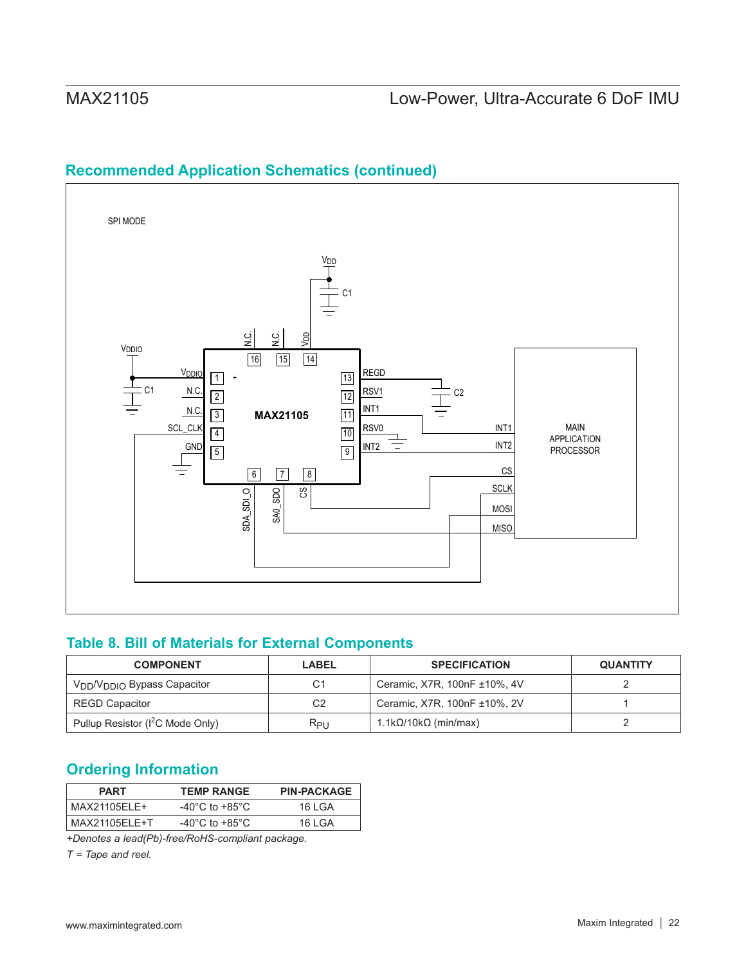## <span id="page-21-1"></span>**Recommended Application Schematics (continued)**



## **Table 8. Bill of Materials for External Components**

| <b>COMPONENT</b>                                    | <b>LABEL</b>   | <b>SPECIFICATION</b>         | <b>QUANTITY</b> |
|-----------------------------------------------------|----------------|------------------------------|-----------------|
| V <sub>DD</sub> /V <sub>DDIO</sub> Bypass Capacitor | C <sub>1</sub> | Ceramic, X7R, 100nF ±10%, 4V |                 |
| <b>REGD Capacitor</b>                               | C <sub>2</sub> | Ceramic, X7R, 100nF ±10%, 2V |                 |
| Pullup Resistor (I <sup>2</sup> C Mode Only)        | $R_{PIJ}$      | 1.1kΩ/10kΩ (min/max)         |                 |

## <span id="page-21-0"></span>**Ordering Information**

| <b>PART</b>   | <b>TEMP RANGE</b>                    | <b>PIN-PACKAGE</b> |
|---------------|--------------------------------------|--------------------|
| MAX21105ELE+  | -40 $^{\circ}$ C to +85 $^{\circ}$ C | 16 I GA            |
| MAX21105ELE+T | -40 $^{\circ}$ C to +85 $^{\circ}$ C | 16 I GA            |

*+Denotes a lead(Pb)-free/RoHS-compliant package.*

*T = Tape and reel.*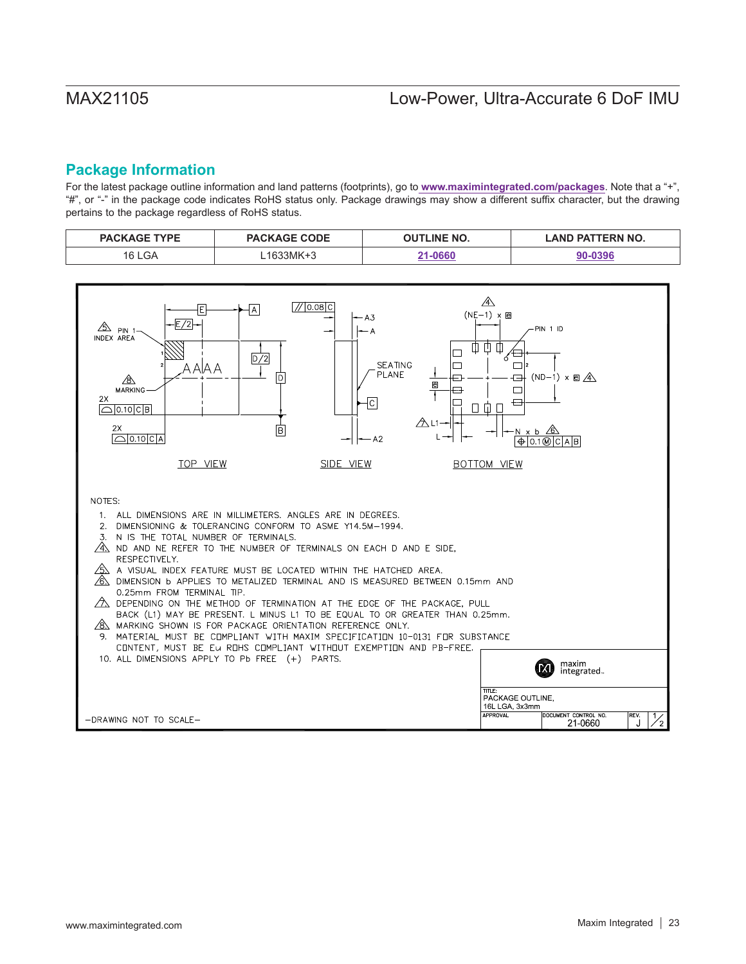## **Package Information**

For the latest package outline information and land patterns (footprints), go to **www.maximintegrated.com/packages**. Note that a "+", "#", or "-" in the package code indicates RoHS status only. Package drawings may show a different suffix character, but the drawing pertains to the package regardless of RoHS status.

| <b>TYPF</b><br><b>PACK</b> | <b>PACKAGE CODE</b> | <b>INE NO.</b><br>וור | <b>TERN NO.</b><br>AND PA |
|----------------------------|---------------------|-----------------------|---------------------------|
| GΑ                         |                     | . neer                | . noar                    |

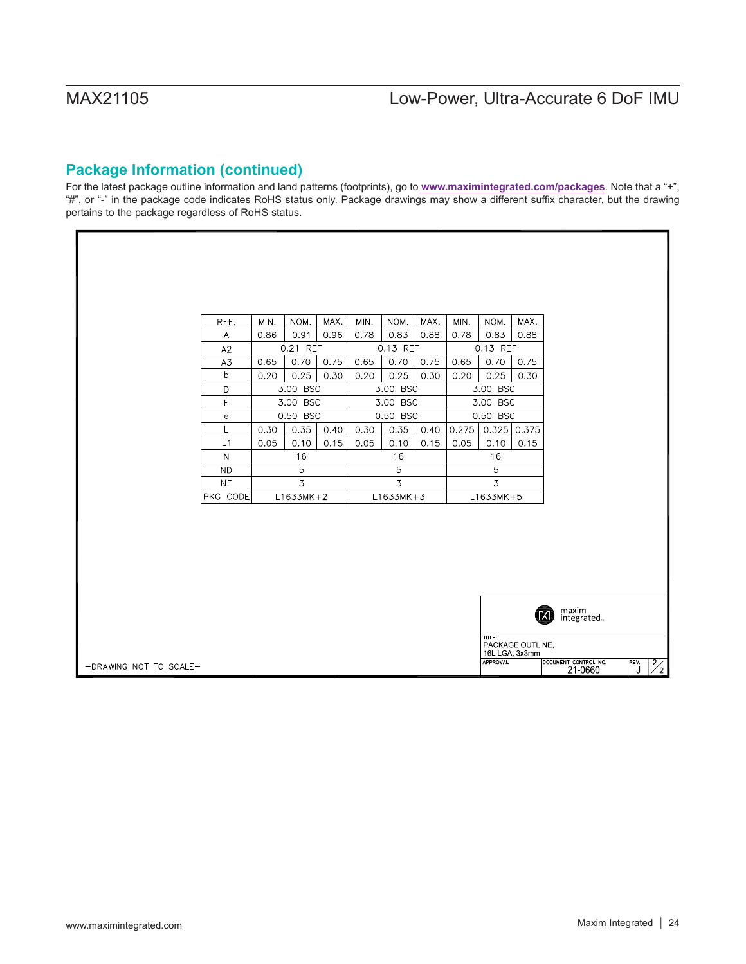## **Package Information (continued)**

For the latest package outline information and land patterns (footprints), go to **www.maximintegrated.com/packages**. Note that a "+", "#", or "-" in the package code indicates RoHS status only. Package drawings may show a different suffix character, but the drawing pertains to the package regardless of RoHS status.

|                      | REF.                                           | MIN.        | NOM.     | MAX. | MIN.        | NOM.     | MAX.     | MIN.  | NOM.            | MAX.             |                                 |                            |
|----------------------|------------------------------------------------|-------------|----------|------|-------------|----------|----------|-------|-----------------|------------------|---------------------------------|----------------------------|
|                      | Α                                              | 0.86        | 0.91     | 0.96 | 0.78        | 0.83     | 0.88     | 0.78  | 0.83            | 0.88             |                                 |                            |
|                      | A2                                             |             | 0.21 REF |      | 0.13 REF    |          | 0.13 REF |       |                 |                  |                                 |                            |
|                      | A3                                             | 0.65        | 0.70     | 0.75 | 0.65        | 0.70     | 0.75     | 0.65  | 0.70            | 0.75             |                                 |                            |
|                      | b                                              | 0.20        | 0.25     | 0.30 | 0.20        | 0.25     | 0.30     | 0.20  | 0.25            | 0.30             |                                 |                            |
|                      | D                                              |             | 3.00 BSC |      | 3.00 BSC    |          | 3.00 BSC |       |                 |                  |                                 |                            |
|                      | E                                              |             | 3.00 BSC |      |             | 3.00 BSC |          |       | 3.00 BSC        |                  |                                 |                            |
|                      | $\mathbf{e}% _{t}\left( \mathbf{1}_{t}\right)$ | 0.50 BSC    |          |      |             | 0.50 BSC |          |       | 0.50 BSC        |                  |                                 |                            |
|                      | L                                              | 0.30        | 0.35     | 0.40 | 0.30        | 0.35     | 0.40     | 0.275 | 0.325           | 0.375            |                                 |                            |
|                      | L1                                             | 0.05        | 0.10     | 0.15 | 0.05        | 0.10     | 0.15     | 0.05  | 0.10            | 0.15             |                                 |                            |
|                      | $\mathsf{N}$                                   | 16          |          |      | 16          |          |          | 16    |                 |                  |                                 |                            |
|                      | <b>ND</b>                                      | 5           |          |      | 5           |          | 5        |       |                 |                  |                                 |                            |
|                      | <b>NE</b>                                      | 3           |          |      | 3           |          |          | 3     |                 |                  |                                 |                            |
|                      | PKG CODE                                       | $L1633MK+2$ |          |      | $L1633MK+3$ |          |          |       | $L1633MK+5$     |                  |                                 |                            |
|                      |                                                |             |          |      |             |          |          |       |                 |                  |                                 |                            |
|                      |                                                |             |          |      |             |          |          |       |                 |                  |                                 |                            |
|                      |                                                |             |          |      |             |          |          |       |                 |                  |                                 |                            |
|                      |                                                |             |          |      |             |          |          |       |                 |                  |                                 |                            |
|                      |                                                |             |          |      |             |          |          |       |                 |                  |                                 |                            |
|                      |                                                |             |          |      |             |          |          |       |                 |                  |                                 |                            |
|                      |                                                |             |          |      |             |          |          |       |                 |                  |                                 |                            |
|                      |                                                |             |          |      |             |          |          |       |                 |                  |                                 |                            |
|                      |                                                |             |          |      |             |          |          |       |                 |                  | maxim<br>integrated             |                            |
|                      |                                                |             |          |      |             |          |          |       | TITLE:          |                  |                                 |                            |
|                      |                                                |             |          |      |             |          |          |       | 16L LGA, 3x3mm  | PACKAGE OUTLINE, |                                 |                            |
| RAWING NOT TO SCALE- |                                                |             |          |      |             |          |          |       | <b>APPROVAL</b> |                  | DOCUMENT CONTROL NO.<br>21-0660 | REV.<br>$\frac{2}{2}$<br>J |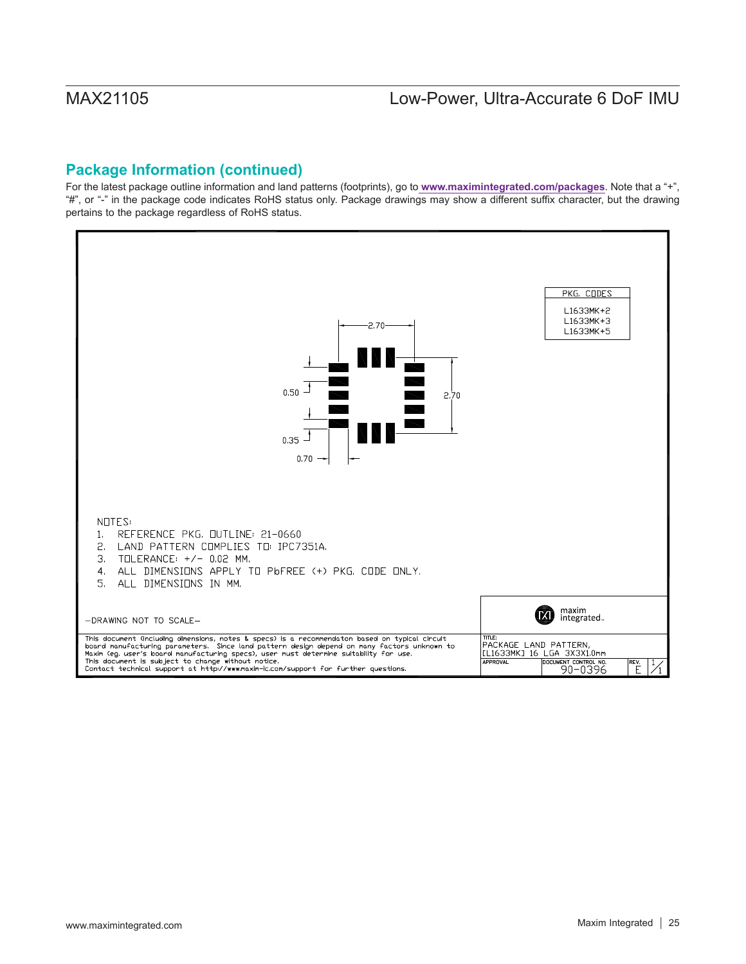## **Package Information (continued)**

For the latest package outline information and land patterns (footprints), go to **www.maximintegrated.com/packages**. Note that a "+", "#", or "-" in the package code indicates RoHS status only. Package drawings may show a different suffix character, but the drawing pertains to the package regardless of RoHS status.